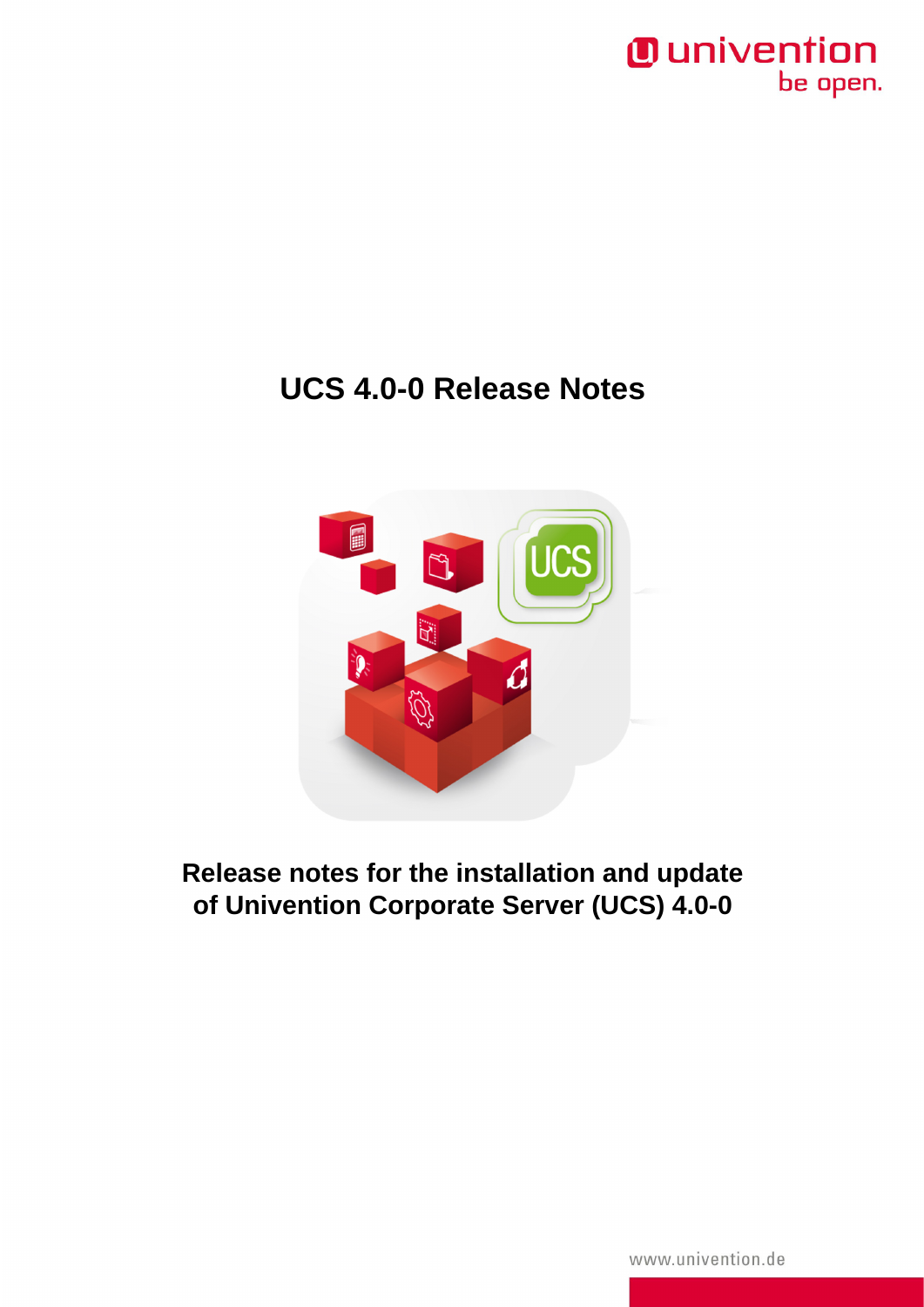

# **UCS 4.0-0 Release Notes**



**Release notes for the installation and update of Univention Corporate Server (UCS) 4.0-0**

www.univention.de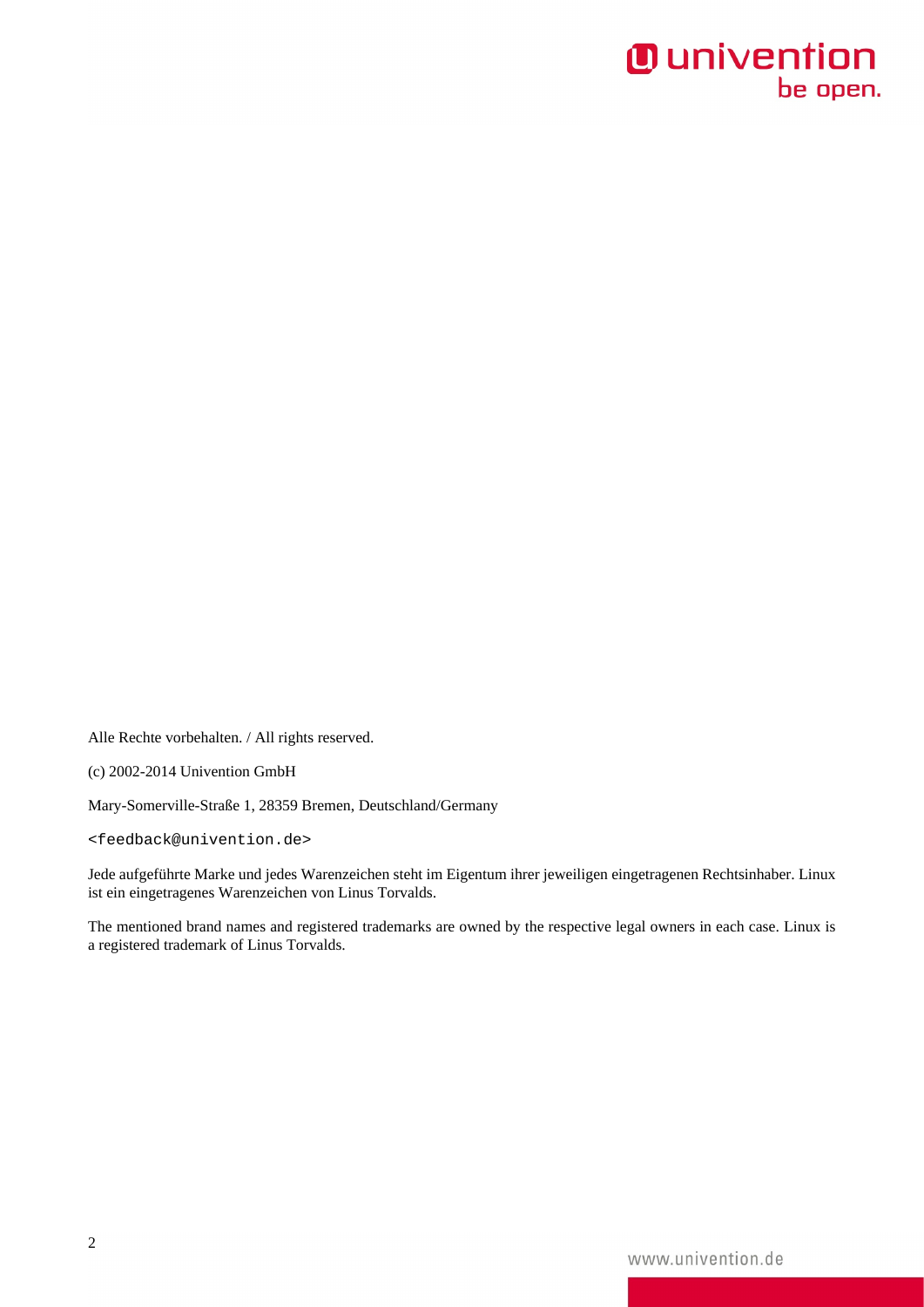# *O* univention<br>be open.

Alle Rechte vorbehalten. / All rights reserved.

(c) 2002-2014 Univention GmbH

Mary-Somerville-Straße 1, 28359 Bremen, Deutschland/Germany

<feedback@univention.de>

Jede aufgeführte Marke und jedes Warenzeichen steht im Eigentum ihrer jeweiligen eingetragenen Rechtsinhaber. Linux ist ein eingetragenes Warenzeichen von Linus Torvalds.

The mentioned brand names and registered trademarks are owned by the respective legal owners in each case. Linux is a registered trademark of Linus Torvalds.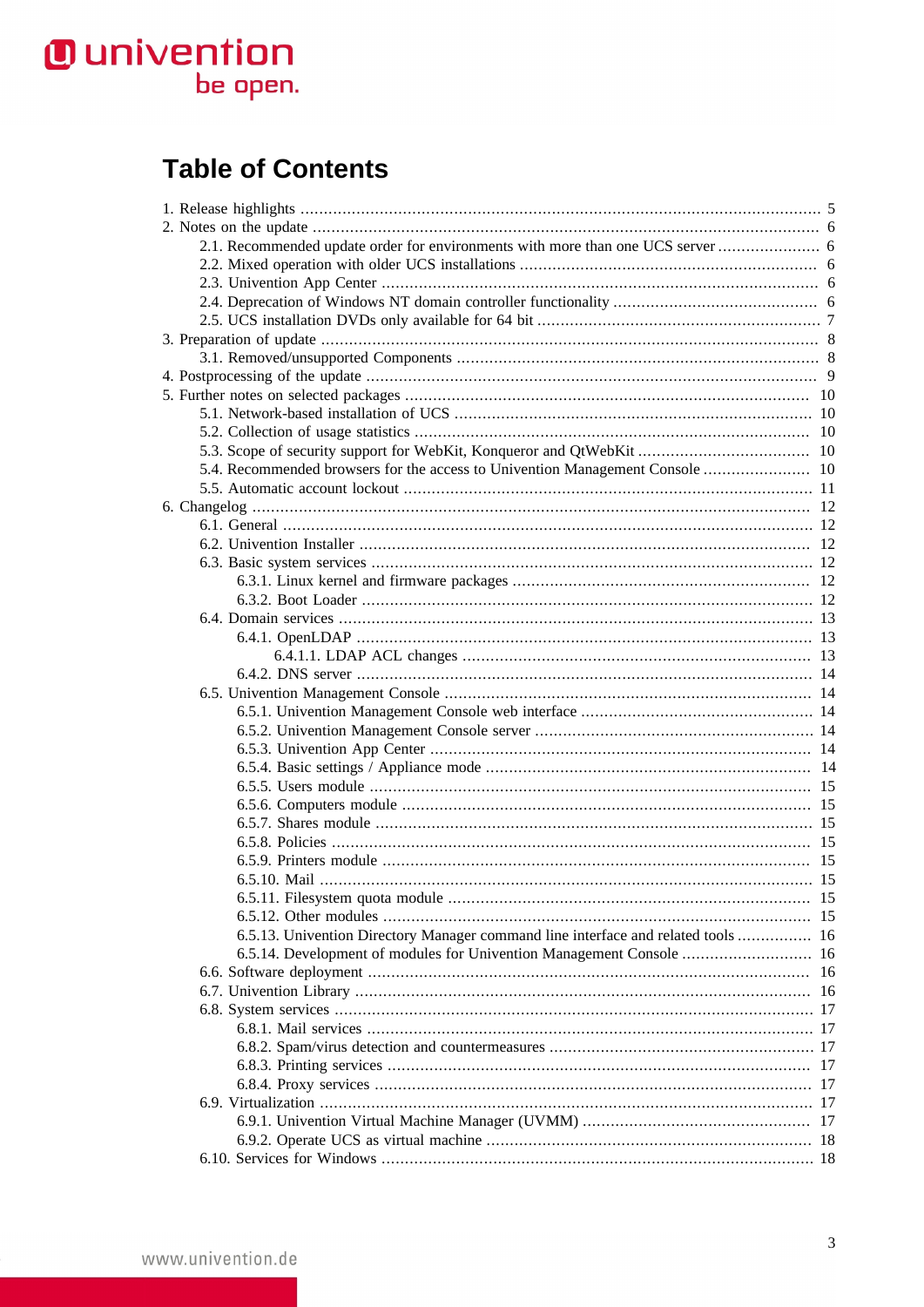# **O** univention<br>be open.

# **Table of Contents**

|  | 6.5.13. Univention Directory Manager command line interface and related tools  16 |  |
|--|-----------------------------------------------------------------------------------|--|
|  | 6.5.14. Development of modules for Univention Management Console  16              |  |
|  |                                                                                   |  |
|  |                                                                                   |  |
|  |                                                                                   |  |
|  |                                                                                   |  |
|  |                                                                                   |  |
|  |                                                                                   |  |
|  |                                                                                   |  |
|  |                                                                                   |  |
|  |                                                                                   |  |
|  |                                                                                   |  |
|  |                                                                                   |  |
|  |                                                                                   |  |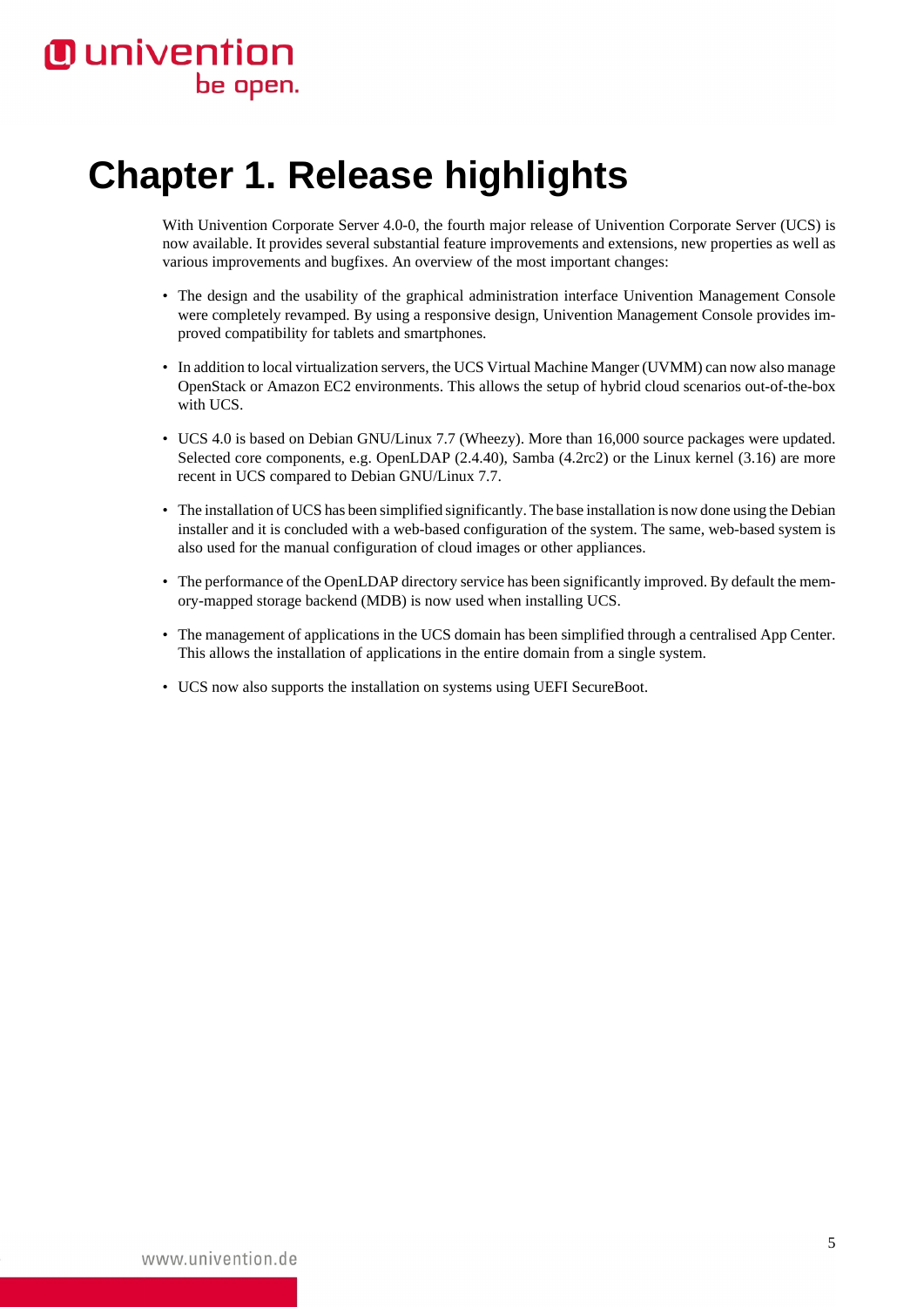# **O** univention be open.

# <span id="page-4-0"></span>**Chapter 1. Release highlights**

With Univention Corporate Server 4.0-0, the fourth major release of Univention Corporate Server (UCS) is now available. It provides several substantial feature improvements and extensions, new properties as well as various improvements and bugfixes. An overview of the most important changes:

- The design and the usability of the graphical administration interface Univention Management Console were completely revamped. By using a responsive design, Univention Management Console provides improved compatibility for tablets and smartphones.
- In addition to local virtualization servers, the UCS Virtual Machine Manger (UVMM) can now also manage OpenStack or Amazon EC2 environments. This allows the setup of hybrid cloud scenarios out-of-the-box with UCS.
- UCS 4.0 is based on Debian GNU/Linux 7.7 (Wheezy). More than 16,000 source packages were updated. Selected core components, e.g. OpenLDAP (2.4.40), Samba (4.2rc2) or the Linux kernel (3.16) are more recent in UCS compared to Debian GNU/Linux 7.7.
- The installation of UCS has been simplified significantly. The base installation is now done using the Debian installer and it is concluded with a web-based configuration of the system. The same, web-based system is also used for the manual configuration of cloud images or other appliances.
- The performance of the OpenLDAP directory service has been significantly improved. By default the memory-mapped storage backend (MDB) is now used when installing UCS.
- The management of applications in the UCS domain has been simplified through a centralised App Center. This allows the installation of applications in the entire domain from a single system.
- UCS now also supports the installation on systems using UEFI SecureBoot.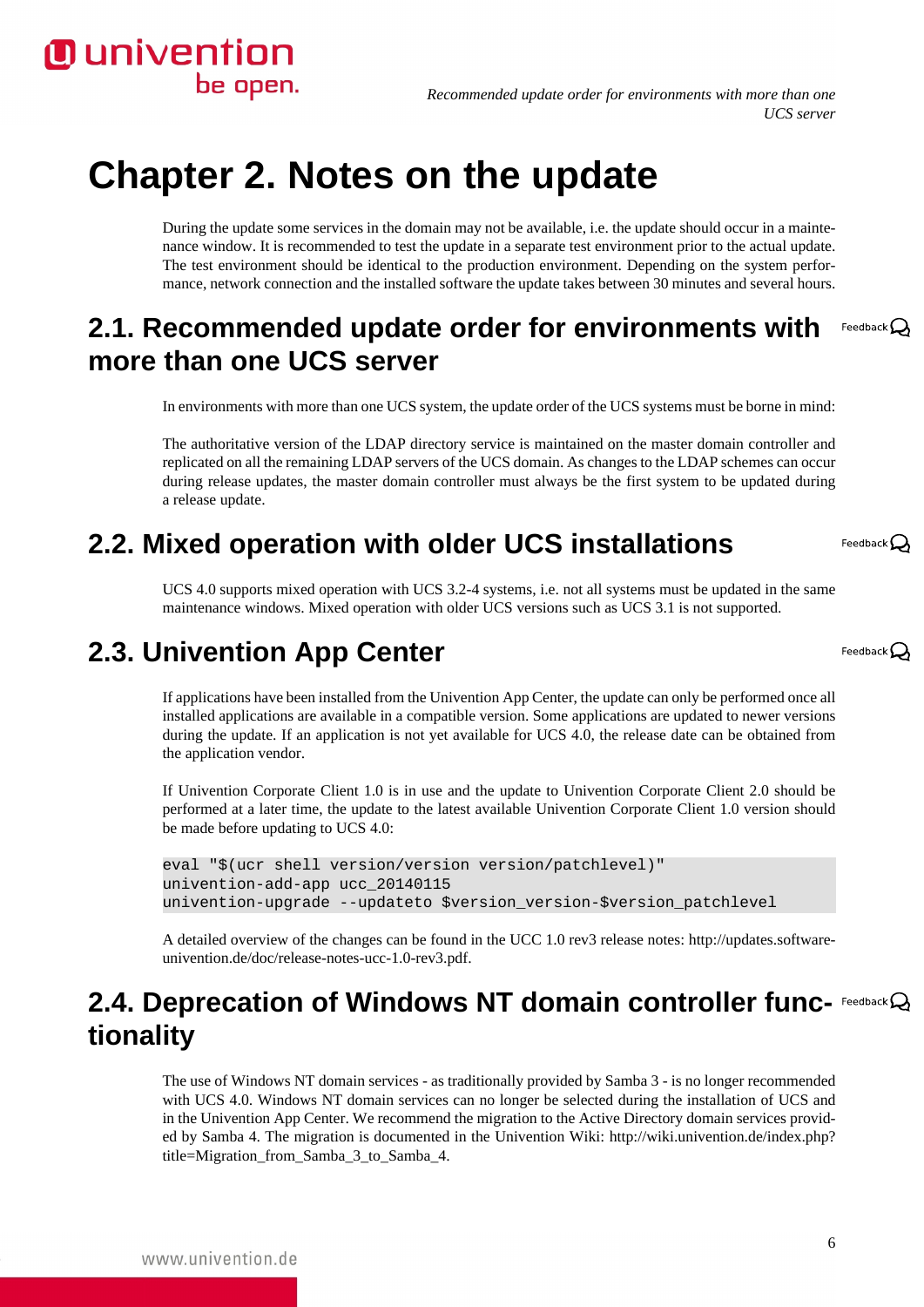# **O** univention be open.

*Recommended update order for environments with more than one UCS server*

# <span id="page-5-0"></span>**Chapter 2. Notes on the update**

During the update some services in the domain may not be available, i.e. the update should occur in a maintenance window. It is recommended to test the update in a separate test environment prior to the actual update. The test environment should be identical to the production environment. Depending on the system performance, network connection and the installed software the update takes between 30 minutes and several hours.

#### <span id="page-5-1"></span>**2.1. Recommended update order for environments with** Feedback $\mathbf{Q}$ **more than one UCS server**

In environments with more than one UCS system, the update order of the UCS systems must be borne in mind:

The authoritative version of the LDAP directory service is maintained on the master domain controller and replicated on all the remaining LDAP servers of the UCS domain. As changes to the LDAP schemes can occur during release updates, the master domain controller must always be the first system to be updated during a release update.

# <span id="page-5-2"></span>**2.2. Mixed operation with older UCS installations**

UCS 4.0 supports mixed operation with UCS 3.2-4 systems, i.e. not all systems must be updated in the same maintenance windows. Mixed operation with older UCS versions such as UCS 3.1 is not supported.

# <span id="page-5-3"></span>**2.3. Univention App Center**

If applications have been installed from the Univention App Center, the update can only be performed once all installed applications are available in a compatible version. Some applications are updated to newer versions during the update. If an application is not yet available for UCS 4.0, the release date can be obtained from the application vendor.

If Univention Corporate Client 1.0 is in use and the update to Univention Corporate Client 2.0 should be performed at a later time, the update to the latest available Univention Corporate Client 1.0 version should be made before updating to UCS 4.0:

```
eval "$(ucr shell version/version version/patchlevel)"
univention-add-app ucc_20140115
univention-upgrade --updateto $version_version-$version_patchlevel
```
A detailed overview of the changes can be found in the UCC 1.0 rev3 release notes: [http://updates.software](http://updates.software-univention.de/doc/release-notes-ucc-1.0-rev3.pdf)[univention.de/doc/release-notes-ucc-1.0-rev3.pdf.](http://updates.software-univention.de/doc/release-notes-ucc-1.0-rev3.pdf)

# <span id="page-5-4"></span>**2.4. Deprecation of Windows NT domain controller func- Feedback**  $\mathbb{Q}$ **tionality**

The use of Windows NT domain services - as traditionally provided by Samba 3 - is no longer recommended with UCS 4.0. Windows NT domain services can no longer be selected during the installation of UCS and in the Univention App Center. We recommend the migration to the Active Directory domain services provided by Samba 4. The migration is documented in the Univention Wiki: [http://wiki.univention.de/index.php?](http://wiki.univention.de/index.php?title=Migration_from_Samba_3_to_Samba_4) [title=Migration\\_from\\_Samba\\_3\\_to\\_Samba\\_4.](http://wiki.univention.de/index.php?title=Migration_from_Samba_3_to_Samba_4)

www.univention.de

Feedback $\Omega$ 

Feedback $\Omega$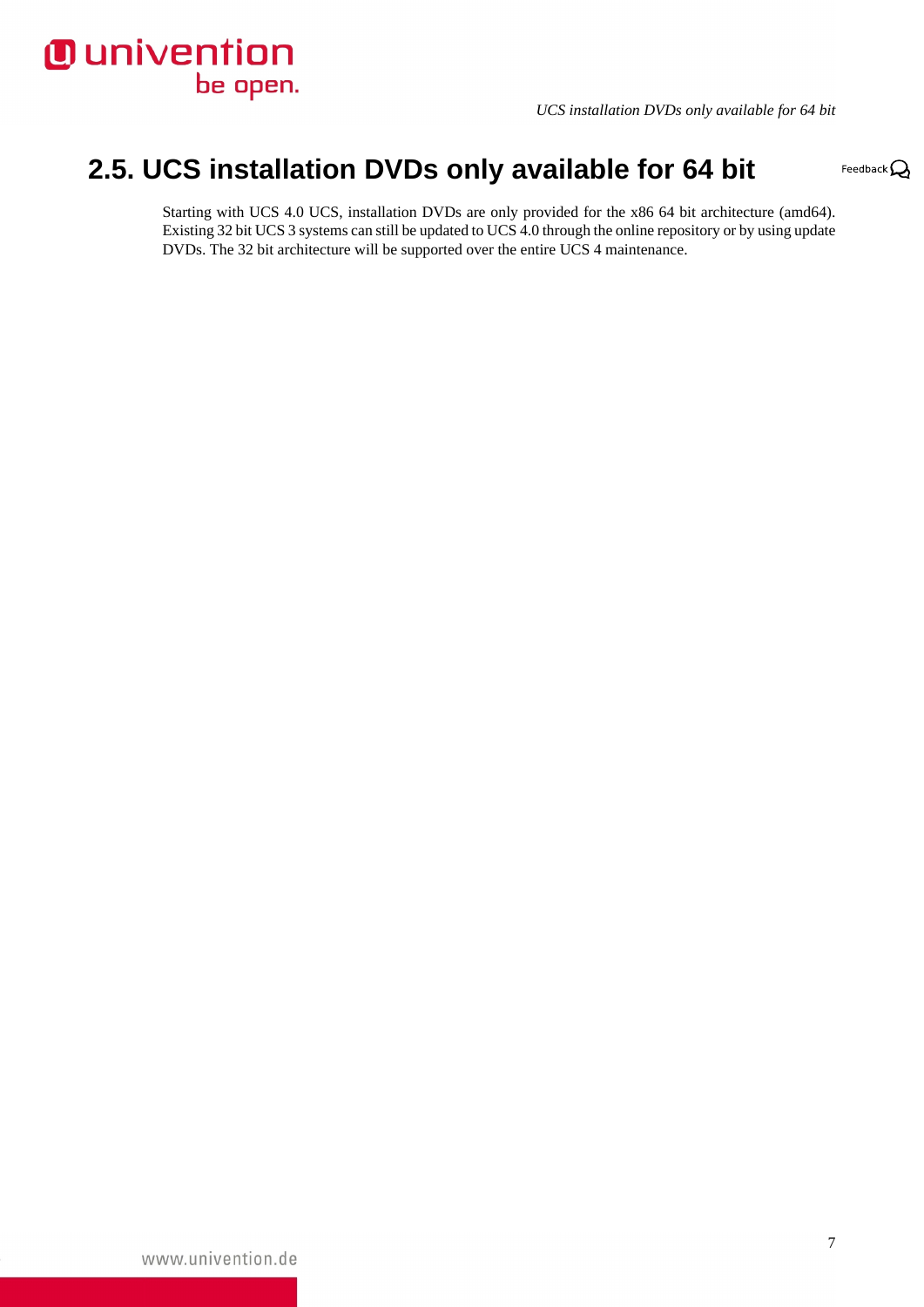

*UCS installation DVDs only available for 64 bit*

Feedback $\mathbf{Q}$ 

# <span id="page-6-0"></span>**2.5. UCS installation DVDs only available for 64 bit**

Starting with UCS 4.0 UCS, installation DVDs are only provided for the x86 64 bit architecture (amd64). Existing 32 bit UCS 3 systems can still be updated to UCS 4.0 through the online repository or by using update DVDs. The 32 bit architecture will be supported over the entire UCS 4 maintenance.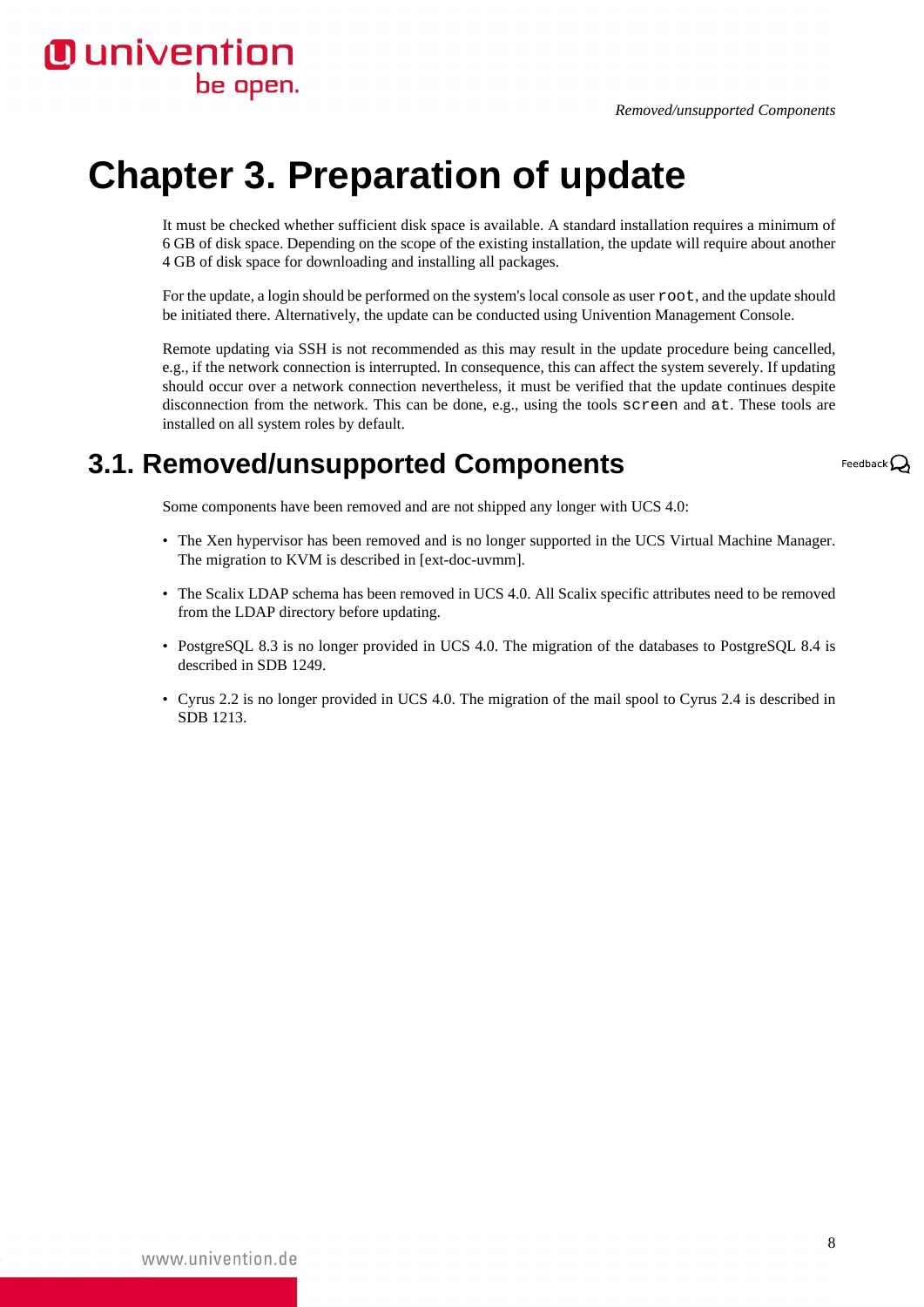# <span id="page-7-0"></span>**Chapter 3. Preparation of update**

**O** univention

be open.

It must be checked whether sufficient disk space is available. A standard installation requires a minimum of 6 GB of disk space. Depending on the scope of the existing installation, the update will require about another 4 GB of disk space for downloading and installing all packages.

For the update, a login should be performed on the system's local console as user root, and the update should be initiated there. Alternatively, the update can be conducted using Univention Management Console.

Remote updating via SSH is not recommended as this may result in the update procedure being cancelled, e.g., if the network connection is interrupted. In consequence, this can affect the system severely. If updating should occur over a network connection nevertheless, it must be verified that the update continues despite disconnection from the network. This can be done, e.g., using the tools screen and at. These tools are installed on all system roles by default.

# <span id="page-7-1"></span>**3.1. Removed/unsupported Components**

Feedback  $\Omega$ 

Some components have been removed and are not shipped any longer with UCS 4.0:

- The Xen hypervisor has been removed and is no longer supported in the UCS Virtual Machine Manager. The migration to KVM is described in [\[ext-doc-uvmm\]](#page-19-1).
- The Scalix LDAP schema has been removed in UCS 4.0. All Scalix specific attributes need to be removed from the LDAP directory before updating.
- PostgreSQL 8.3 is no longer provided in UCS 4.0. The migration of the databases to PostgreSQL 8.4 is described in [SDB 1249.](http://sdb.univention.de/1249)
- Cyrus 2.2 is no longer provided in UCS 4.0. The migration of the mail spool to Cyrus 2.4 is described in [SDB 1213.](http://sdb.univention.de/1213)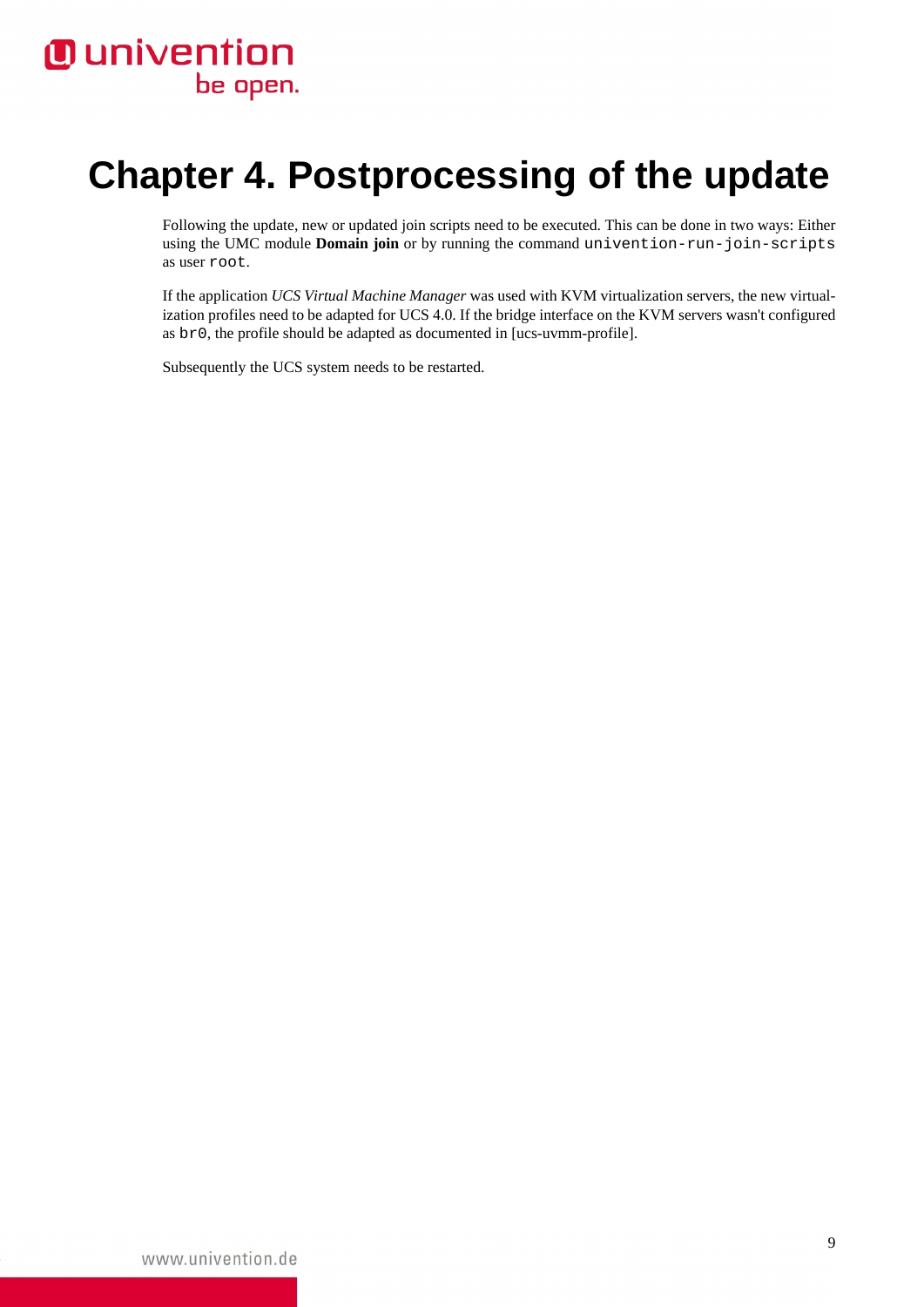# *Ounivention* be open.

# <span id="page-8-0"></span>**Chapter 4. Postprocessing of the update**

Following the update, new or updated join scripts need to be executed. This can be done in two ways: Either using the UMC module **Domain join** or by running the command univention-run-join-scripts as user root.

If the application *UCS Virtual Machine Manager* was used with KVM virtualization servers, the new virtualization profiles need to be adapted for UCS 4.0. If the bridge interface on the KVM servers wasn't configured as br0, the profile should be adapted as documented in [\[ucs-uvmm-profile\]](#page-19-2).

Subsequently the UCS system needs to be restarted.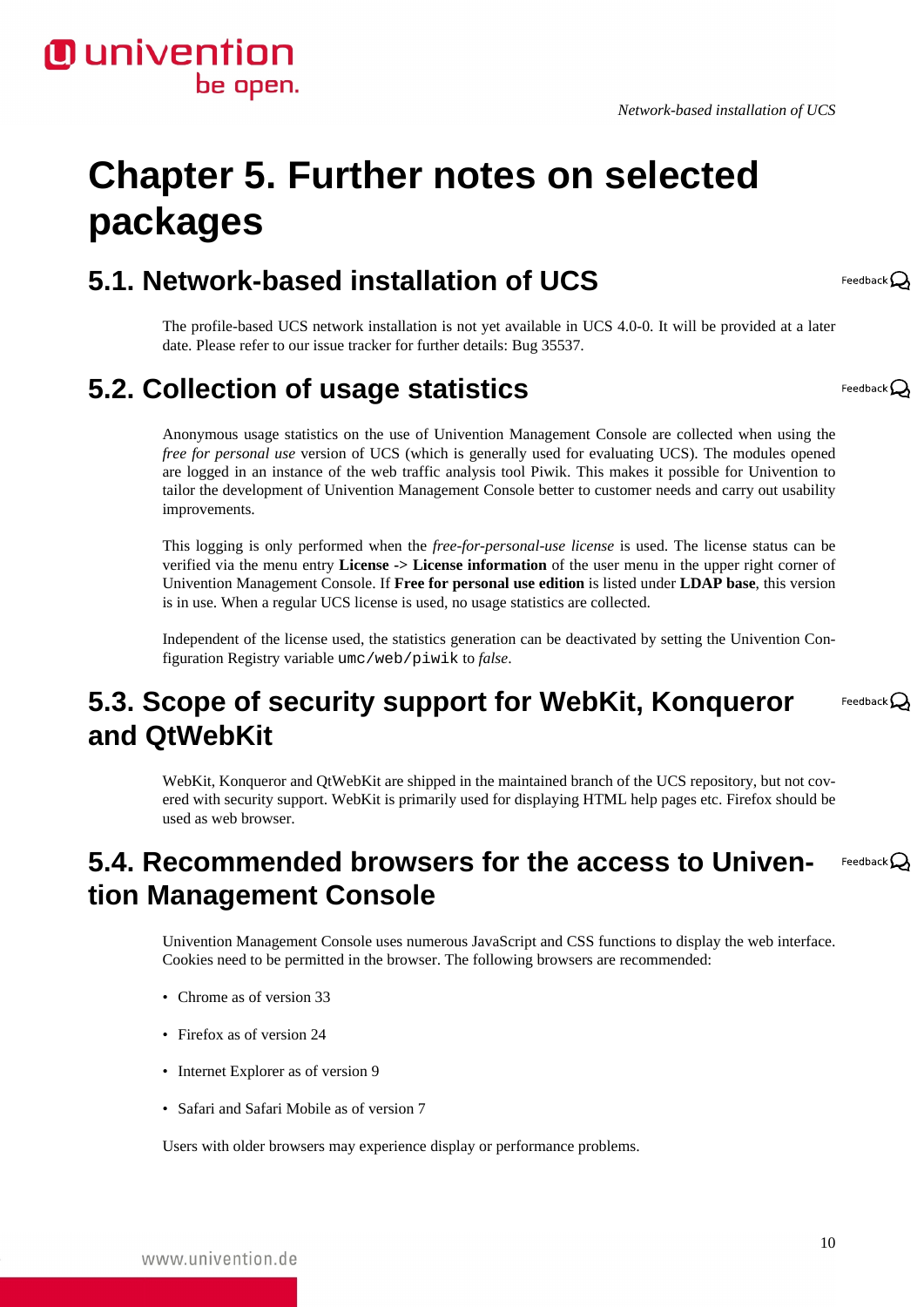# <span id="page-9-0"></span>**Chapter 5. Further notes on selected packages**

# <span id="page-9-1"></span>**5.1. Network-based installation of UCS**

The profile-based UCS network installation is not yet available in UCS 4.0-0. It will be provided at a later date. Please refer to our issue tracker for further details: [Bug 35537](https://forge.univention.org/bugzilla/show_bug.cgi?id=35537).

# <span id="page-9-2"></span>**5.2. Collection of usage statistics**

**O** univention

be open.

Anonymous usage statistics on the use of Univention Management Console are collected when using the *free for personal use* version of UCS (which is generally used for evaluating UCS). The modules opened are logged in an instance of the web traffic analysis tool Piwik. This makes it possible for Univention to tailor the development of Univention Management Console better to customer needs and carry out usability improvements.

This logging is only performed when the *free-for-personal-use license* is used. The license status can be verified via the menu entry **License -> License information** of the user menu in the upper right corner of Univention Management Console. If **Free for personal use edition** is listed under **LDAP base**, this version is in use. When a regular UCS license is used, no usage statistics are collected.

Independent of the license used, the statistics generation can be deactivated by setting the Univention Configuration Registry variable umc/web/piwik to *false*.

# <span id="page-9-3"></span>**5.3. Scope of security support for WebKit, Konqueror and QtWebKit**

WebKit, Konqueror and QtWebKit are shipped in the maintained branch of the UCS repository, but not covered with security support. WebKit is primarily used for displaying HTML help pages etc. Firefox should be used as web browser.

#### <span id="page-9-4"></span>**5.4. Recommended browsers for the access to Univen-**Feedback $\Omega$ **tion Management Console**

Univention Management Console uses numerous JavaScript and CSS functions to display the web interface. Cookies need to be permitted in the browser. The following browsers are recommended:

- Chrome as of version 33
- Firefox as of version 24
- Internet Explorer as of version 9
- Safari and Safari Mobile as of version 7

Users with older browsers may experience display or performance problems.



Feedback $\Omega$ 

Feedback $\mathbf{\Omega}$ 

Feedback $\Omega$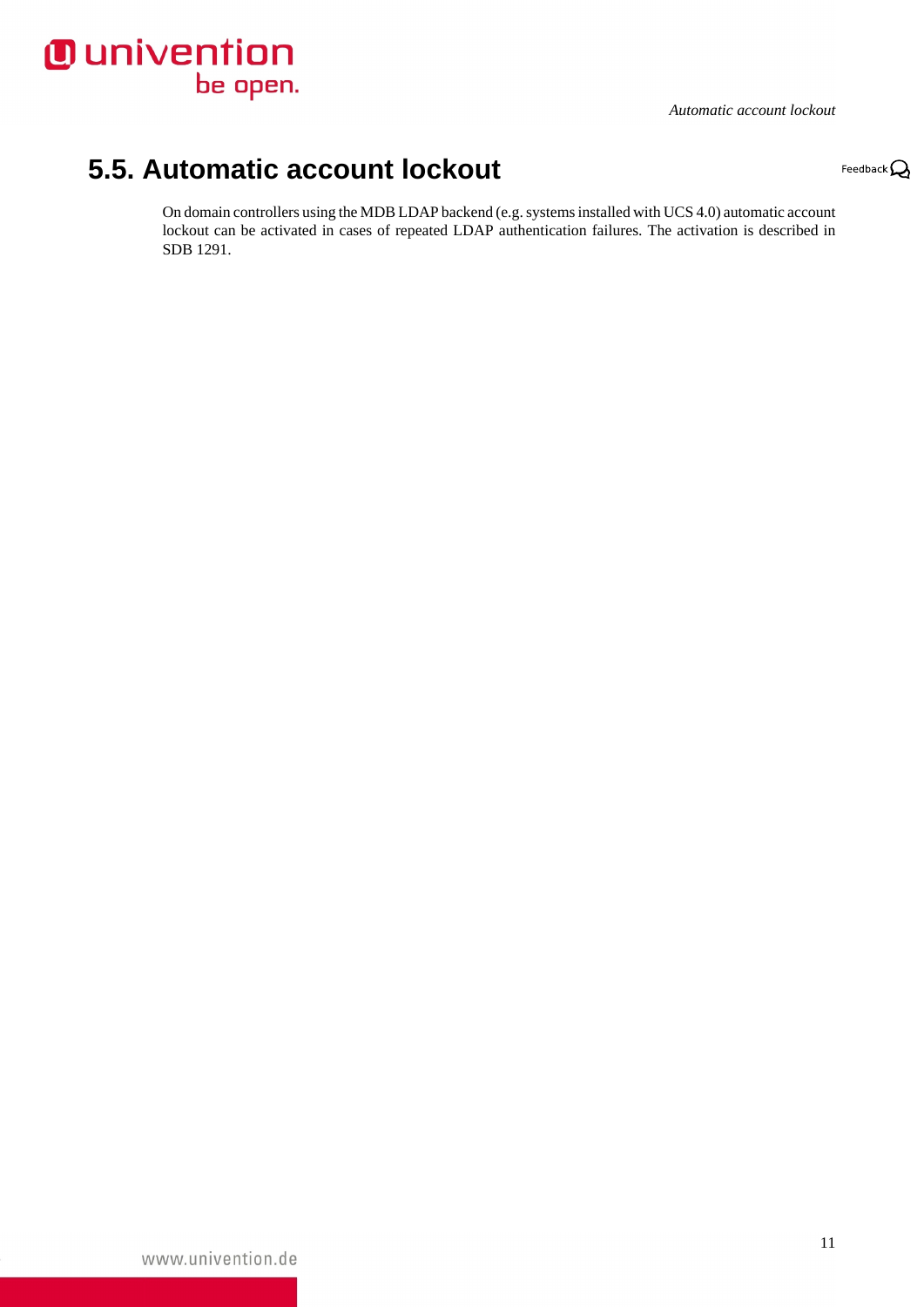

*Automatic account lockout*

Feedback $\mathbf{Q}$ 

# <span id="page-10-0"></span>**5.5. Automatic account lockout**

On domain controllers using the MDB LDAP backend (e.g. systems installed with UCS 4.0) automatic account lockout can be activated in cases of repeated LDAP authentication failures. The activation is described in [SDB 1291.](http://sdb.univention.de/1291)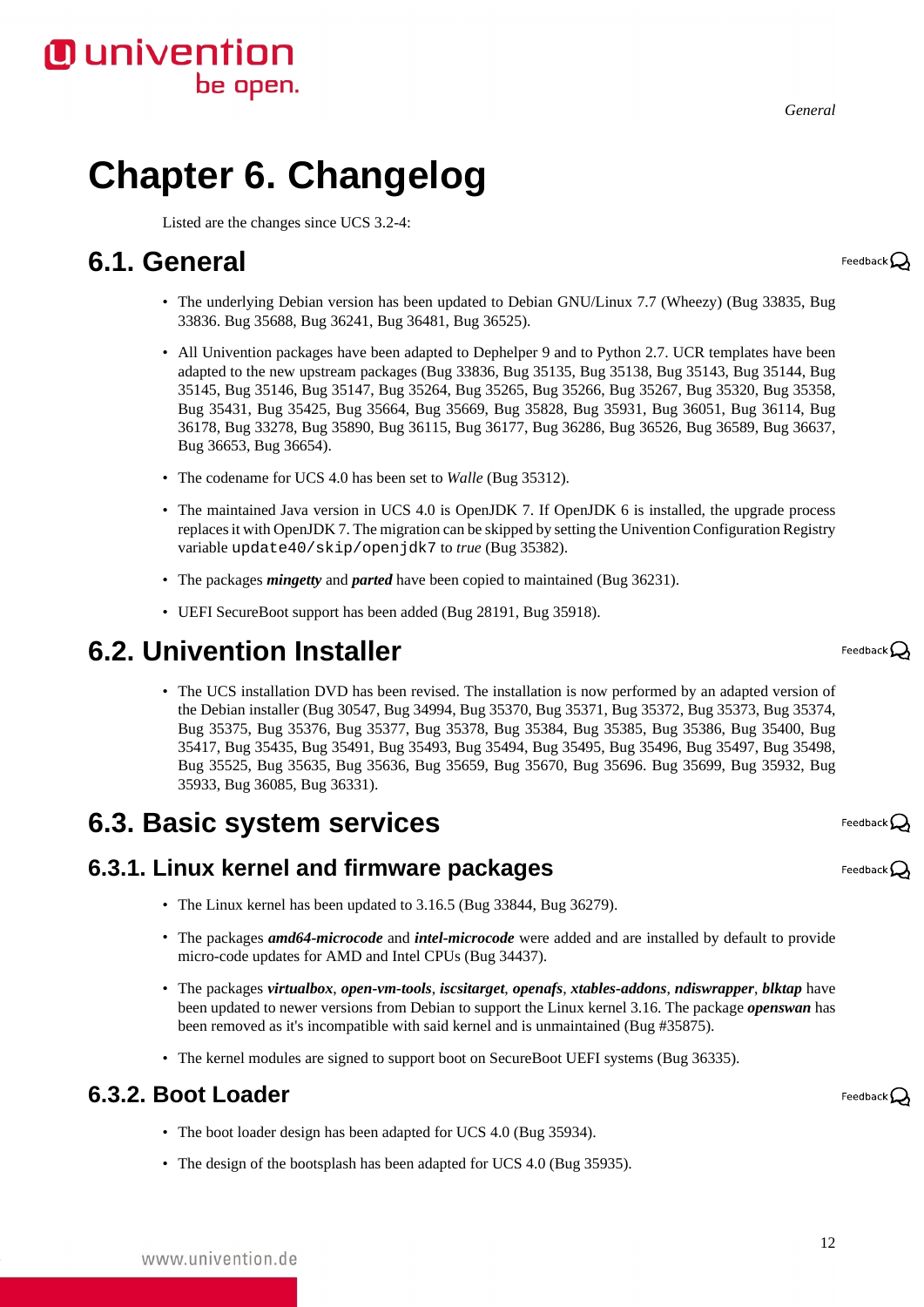# <span id="page-11-0"></span>**Chapter 6. Changelog**

be open.

Listed are the changes since UCS 3.2-4:

# <span id="page-11-1"></span>**6.1. General**

**O** univention

- The underlying Debian version has been updated to Debian GNU/Linux 7.7 (Wheezy) ([Bug 33835](https://forge.univention.org/bugzilla/show_bug.cgi?id=33835), [Bug](https://forge.univention.org/bugzilla/show_bug.cgi?id=33836) [33836.](https://forge.univention.org/bugzilla/show_bug.cgi?id=33836) [Bug 35688,](https://forge.univention.org/bugzilla/show_bug.cgi?id=35688) [Bug 36241](https://forge.univention.org/bugzilla/show_bug.cgi?id=36241), [Bug 36481](https://forge.univention.org/bugzilla/show_bug.cgi?id=36481), [Bug 36525](https://forge.univention.org/bugzilla/show_bug.cgi?id=36525)).
- All Univention packages have been adapted to Dephelper 9 and to Python 2.7. UCR templates have been adapted to the new upstream packages ([Bug 33836](https://forge.univention.org/bugzilla/show_bug.cgi?id=33836), [Bug 35135,](https://forge.univention.org/bugzilla/show_bug.cgi?id=35135) [Bug 35138,](https://forge.univention.org/bugzilla/show_bug.cgi?id=35138) [Bug 35143](https://forge.univention.org/bugzilla/show_bug.cgi?id=35143), [Bug 35144,](https://forge.univention.org/bugzilla/show_bug.cgi?id=35144) [Bug](https://forge.univention.org/bugzilla/show_bug.cgi?id=35145) [35145,](https://forge.univention.org/bugzilla/show_bug.cgi?id=35145) [Bug 35146](https://forge.univention.org/bugzilla/show_bug.cgi?id=35146), [Bug 35147,](https://forge.univention.org/bugzilla/show_bug.cgi?id=35147) [Bug 35264](https://forge.univention.org/bugzilla/show_bug.cgi?id=35264), [Bug 35265,](https://forge.univention.org/bugzilla/show_bug.cgi?id=35265) [Bug 35266](https://forge.univention.org/bugzilla/show_bug.cgi?id=35266), [Bug 35267,](https://forge.univention.org/bugzilla/show_bug.cgi?id=35267) [Bug 35320,](https://forge.univention.org/bugzilla/show_bug.cgi?id=35320) [Bug 35358](https://forge.univention.org/bugzilla/show_bug.cgi?id=35358), [Bug 35431,](https://forge.univention.org/bugzilla/show_bug.cgi?id=35431) [Bug 35425,](https://forge.univention.org/bugzilla/show_bug.cgi?id=35425) [Bug 35664,](https://forge.univention.org/bugzilla/show_bug.cgi?id=35664) [Bug 35669](https://forge.univention.org/bugzilla/show_bug.cgi?id=35669), [Bug 35828](https://forge.univention.org/bugzilla/show_bug.cgi?id=35828), [Bug 35931](https://forge.univention.org/bugzilla/show_bug.cgi?id=35931), [Bug 36051](https://forge.univention.org/bugzilla/show_bug.cgi?id=36051), [Bug 36114](https://forge.univention.org/bugzilla/show_bug.cgi?id=36114), [Bug](https://forge.univention.org/bugzilla/show_bug.cgi?id=36178) [36178,](https://forge.univention.org/bugzilla/show_bug.cgi?id=36178) [Bug 33278](https://forge.univention.org/bugzilla/show_bug.cgi?id=33278), [Bug 35890,](https://forge.univention.org/bugzilla/show_bug.cgi?id=35890) [Bug 36115](https://forge.univention.org/bugzilla/show_bug.cgi?id=36115), [Bug 36177,](https://forge.univention.org/bugzilla/show_bug.cgi?id=36177) [Bug 36286](https://forge.univention.org/bugzilla/show_bug.cgi?id=36286), [Bug 36526,](https://forge.univention.org/bugzilla/show_bug.cgi?id=36526) [Bug 36589,](https://forge.univention.org/bugzilla/show_bug.cgi?id=36589) [Bug 36637](https://forge.univention.org/bugzilla/show_bug.cgi?id=36637), [Bug 36653,](https://forge.univention.org/bugzilla/show_bug.cgi?id=36653) [Bug 36654](https://forge.univention.org/bugzilla/show_bug.cgi?id=36654)).
- The codename for UCS 4.0 has been set to *Walle* [\(Bug 35312](https://forge.univention.org/bugzilla/show_bug.cgi?id=35312)).
- The maintained Java version in UCS 4.0 is OpenJDK 7. If OpenJDK 6 is installed, the upgrade process replaces it with OpenJDK 7. The migration can be skipped by setting the Univention Configuration Registry variable update40/skip/openjdk7 to *true* [\(Bug 35382](https://forge.univention.org/bugzilla/show_bug.cgi?id=35382)).
- The packages *mingetty* and *parted* have been copied to maintained ([Bug 36231](https://forge.univention.org/bugzilla/show_bug.cgi?id=36231)).
- UEFI SecureBoot support has been added ([Bug 28191](https://forge.univention.org/bugzilla/show_bug.cgi?id=28191), [Bug 35918](https://forge.univention.org/bugzilla/show_bug.cgi?id=35918)).

### <span id="page-11-2"></span>**6.2. Univention Installer**

• The UCS installation DVD has been revised. The installation is now performed by an adapted version of the Debian installer [\(Bug 30547,](https://forge.univention.org/bugzilla/show_bug.cgi?id=30547) [Bug 34994](https://forge.univention.org/bugzilla/show_bug.cgi?id=34994), [Bug 35370](https://forge.univention.org/bugzilla/show_bug.cgi?id=35370), [Bug 35371](https://forge.univention.org/bugzilla/show_bug.cgi?id=35371), [Bug 35372](https://forge.univention.org/bugzilla/show_bug.cgi?id=35372), [Bug 35373](https://forge.univention.org/bugzilla/show_bug.cgi?id=35373), [Bug 35374](https://forge.univention.org/bugzilla/show_bug.cgi?id=35374), [Bug 35375,](https://forge.univention.org/bugzilla/show_bug.cgi?id=35375) [Bug 35376,](https://forge.univention.org/bugzilla/show_bug.cgi?id=35376) [Bug 35377,](https://forge.univention.org/bugzilla/show_bug.cgi?id=35377) [Bug 35378](https://forge.univention.org/bugzilla/show_bug.cgi?id=35378), [Bug 35384](https://forge.univention.org/bugzilla/show_bug.cgi?id=35384), [Bug 35385](https://forge.univention.org/bugzilla/show_bug.cgi?id=35385), [Bug 35386](https://forge.univention.org/bugzilla/show_bug.cgi?id=35386), [Bug 35400](https://forge.univention.org/bugzilla/show_bug.cgi?id=35400), [Bug](https://forge.univention.org/bugzilla/show_bug.cgi?id=35417) [35417,](https://forge.univention.org/bugzilla/show_bug.cgi?id=35417) [Bug 35435](https://forge.univention.org/bugzilla/show_bug.cgi?id=35435), [Bug 35491,](https://forge.univention.org/bugzilla/show_bug.cgi?id=35491) [Bug 35493](https://forge.univention.org/bugzilla/show_bug.cgi?id=35493), [Bug 35494,](https://forge.univention.org/bugzilla/show_bug.cgi?id=35494) [Bug 35495](https://forge.univention.org/bugzilla/show_bug.cgi?id=35495), [Bug 35496,](https://forge.univention.org/bugzilla/show_bug.cgi?id=35496) [Bug 35497,](https://forge.univention.org/bugzilla/show_bug.cgi?id=35497) [Bug 35498](https://forge.univention.org/bugzilla/show_bug.cgi?id=35498), [Bug 35525,](https://forge.univention.org/bugzilla/show_bug.cgi?id=35525) [Bug 35635,](https://forge.univention.org/bugzilla/show_bug.cgi?id=35635) [Bug 35636,](https://forge.univention.org/bugzilla/show_bug.cgi?id=35636) [Bug 35659](https://forge.univention.org/bugzilla/show_bug.cgi?id=35659), [Bug 35670](https://forge.univention.org/bugzilla/show_bug.cgi?id=35670), [Bug 35696](https://forge.univention.org/bugzilla/show_bug.cgi?id=35696). [Bug 35699](https://forge.univention.org/bugzilla/show_bug.cgi?id=35699), [Bug 35932](https://forge.univention.org/bugzilla/show_bug.cgi?id=35932), [Bug](https://forge.univention.org/bugzilla/show_bug.cgi?id=35933) [35933,](https://forge.univention.org/bugzilla/show_bug.cgi?id=35933) [Bug 36085,](https://forge.univention.org/bugzilla/show_bug.cgi?id=36085) [Bug 36331](https://forge.univention.org/bugzilla/show_bug.cgi?id=36331)).

# <span id="page-11-3"></span>**6.3. Basic system services**

#### <span id="page-11-4"></span>**6.3.1. Linux kernel and firmware packages**

- The Linux kernel has been updated to 3.16.5 [\(Bug 33844](https://forge.univention.org/bugzilla/show_bug.cgi?id=33844), [Bug 36279](https://forge.univention.org/bugzilla/show_bug.cgi?id=36279)).
- The packages *amd64-microcode* and *intel-microcode* were added and are installed by default to provide micro-code updates for AMD and Intel CPUs ([Bug 34437\)](https://forge.univention.org/bugzilla/show_bug.cgi?id=34437).
- The packages *virtualbox*, *open-vm-tools*, *iscsitarget*, *openafs*, *xtables-addons*, *ndiswrapper*, *blktap* have been updated to newer versions from Debian to support the Linux kernel 3.16. The package *openswan* has been removed as it's incompatible with said kernel and is unmaintained ([Bug #35875\)](https://forge.univention.org/bugzilla/show_bug.cgi?id=35875).
- The kernel modules are signed to support boot on SecureBoot UEFI systems ([Bug 36335](https://forge.univention.org/bugzilla/show_bug.cgi?id=36335)).

#### <span id="page-11-5"></span>**6.3.2. Boot Loader**

- The boot loader design has been adapted for UCS 4.0 [\(Bug 35934\)](https://forge.univention.org/bugzilla/show_bug.cgi?id=35934).
- The design of the bootsplash has been adapted for UCS 4.0 [\(Bug 35935\)](https://forge.univention.org/bugzilla/show_bug.cgi?id=35935).

Feedback $\Omega$ 

Feedback $\Omega$ 

Feedback $\bigcirc$ 

Feedback $\bigcirc$ 

12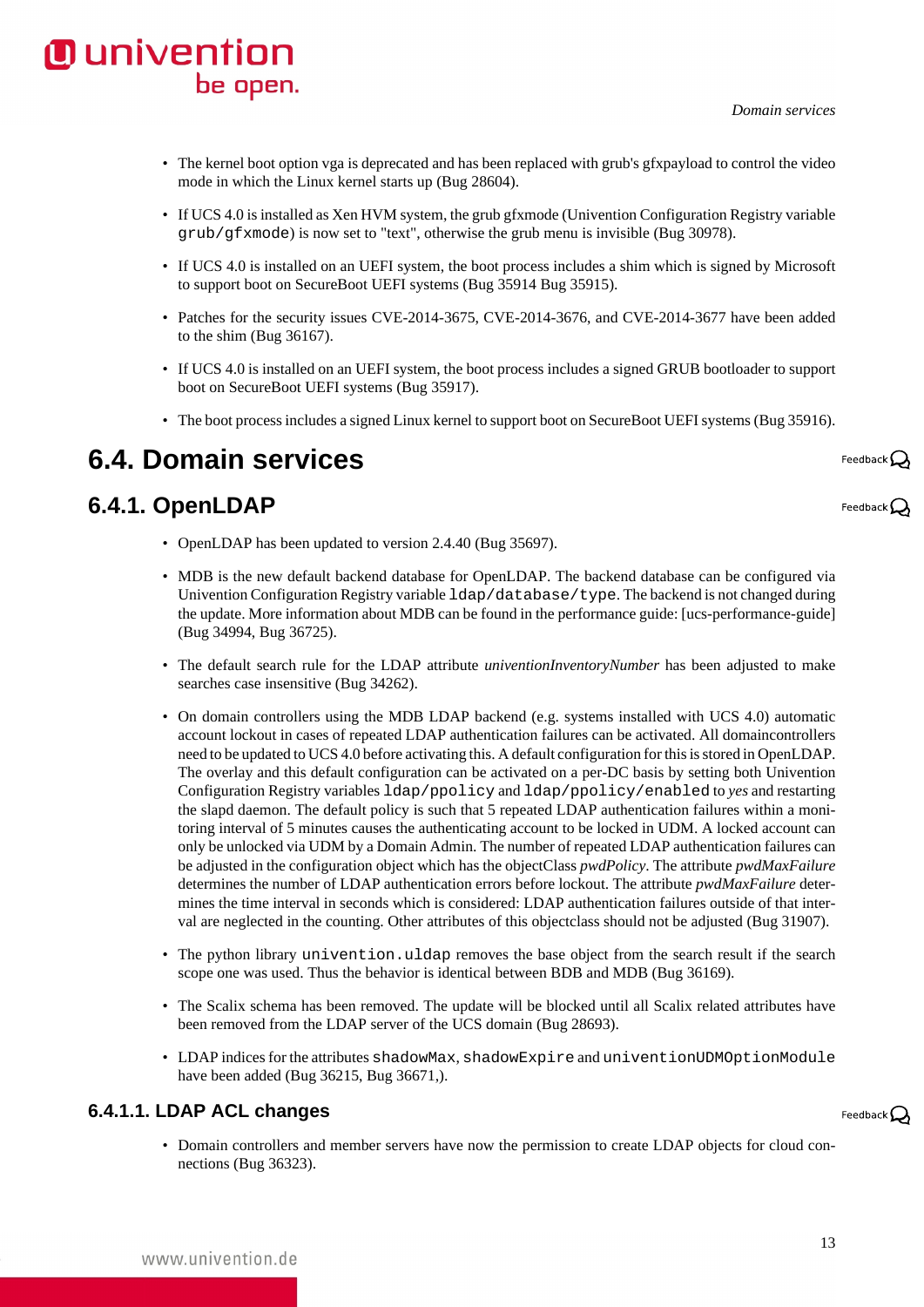

- The kernel boot option vga is deprecated and has been replaced with grub's gfxpayload to control the video mode in which the Linux kernel starts up ([Bug 28604\)](https://forge.univention.org/bugzilla/show_bug.cgi?id=28604).
- If UCS 4.0 is installed as Xen HVM system, the grub gfxmode (Univention Configuration Registry variable grub/gfxmode) is now set to "text", otherwise the grub menu is invisible ([Bug 30978\)](https://forge.univention.org/bugzilla/show_bug.cgi?id=30978).
- If UCS 4.0 is installed on an UEFI system, the boot process includes a shim which is signed by Microsoft to support boot on SecureBoot UEFI systems ([Bug 35914](https://forge.univention.org/bugzilla/show_bug.cgi?id=35914) [Bug 35915](https://forge.univention.org/bugzilla/show_bug.cgi?id=35915)).
- Patches for the security issues CVE-2014-3675, CVE-2014-3676, and CVE-2014-3677 have been added to the shim ([Bug 36167](https://forge.univention.org/bugzilla/show_bug.cgi?id=36167)).
- If UCS 4.0 is installed on an UEFI system, the boot process includes a signed GRUB bootloader to support boot on SecureBoot UEFI systems ([Bug 35917](https://forge.univention.org/bugzilla/show_bug.cgi?id=35917)).
- The boot process includes a signed Linux kernel to support boot on SecureBoot UEFI systems [\(Bug 35916\)](https://forge.univention.org/bugzilla/show_bug.cgi?id=35916).

# <span id="page-12-0"></span>**6.4. Domain services**

#### <span id="page-12-1"></span>**6.4.1. OpenLDAP**

- OpenLDAP has been updated to version 2.4.40 [\(Bug 35697\)](https://forge.univention.org/bugzilla/show_bug.cgi?id=35697).
- MDB is the new default backend database for OpenLDAP. The backend database can be configured via Univention Configuration Registry variable ldap/database/type. The backend is not changed during the update. More information about MDB can be found in the performance guide: [\[ucs-performance-guide\]](#page-19-3) [\(Bug 34994](https://forge.univention.org/bugzilla/show_bug.cgi?id=34994), [Bug 36725](https://forge.univention.org/bugzilla/show_bug.cgi?id=36725)).
- The default search rule for the LDAP attribute *univentionInventoryNumber* has been adjusted to make searches case insensitive [\(Bug 34262\)](https://forge.univention.org/bugzilla/show_bug.cgi?id=34262).
- On domain controllers using the MDB LDAP backend (e.g. systems installed with UCS 4.0) automatic account lockout in cases of repeated LDAP authentication failures can be activated. All domaincontrollers need to be updated to UCS 4.0 before activating this. A default configuration for this is stored in OpenLDAP. The overlay and this default configuration can be activated on a per-DC basis by setting both Univention Configuration Registry variables ldap/ppolicy and ldap/ppolicy/enabled to *yes* and restarting the slapd daemon. The default policy is such that 5 repeated LDAP authentication failures within a monitoring interval of 5 minutes causes the authenticating account to be locked in UDM. A locked account can only be unlocked via UDM by a Domain Admin. The number of repeated LDAP authentication failures can be adjusted in the configuration object which has the objectClass *pwdPolicy*. The attribute *pwdMaxFailure* determines the number of LDAP authentication errors before lockout. The attribute *pwdMaxFailure* determines the time interval in seconds which is considered: LDAP authentication failures outside of that interval are neglected in the counting. Other attributes of this objectclass should not be adjusted ([Bug 31907\)](https://forge.univention.org/bugzilla/show_bug.cgi?id=31907).
- The python library univention.uldap removes the base object from the search result if the search scope one was used. Thus the behavior is identical between BDB and MDB ([Bug 36169\)](https://forge.univention.org/bugzilla/show_bug.cgi?id=36169).
- The Scalix schema has been removed. The update will be blocked until all Scalix related attributes have been removed from the LDAP server of the UCS domain [\(Bug 28693](https://forge.univention.org/bugzilla/show_bug.cgi?id=28693)).
- LDAP indices for the attributes shadowMax, shadowExpire and univentionUDMOptionModule have been added [\(Bug 36215](https://forge.univention.org/bugzilla/show_bug.cgi?id=36215), [Bug 36671,](https://forge.univention.org/bugzilla/show_bug.cgi?id=36671)).

#### <span id="page-12-2"></span>**6.4.1.1. LDAP ACL changes**

Feedback $\Omega$ 

• Domain controllers and member servers have now the permission to create LDAP objects for cloud connections ([Bug 36323](https://forge.univention.org/bugzilla/show_bug.cgi?id=36323)).

Feedback $\mathcal Q$ 

Feedback $\bigcirc$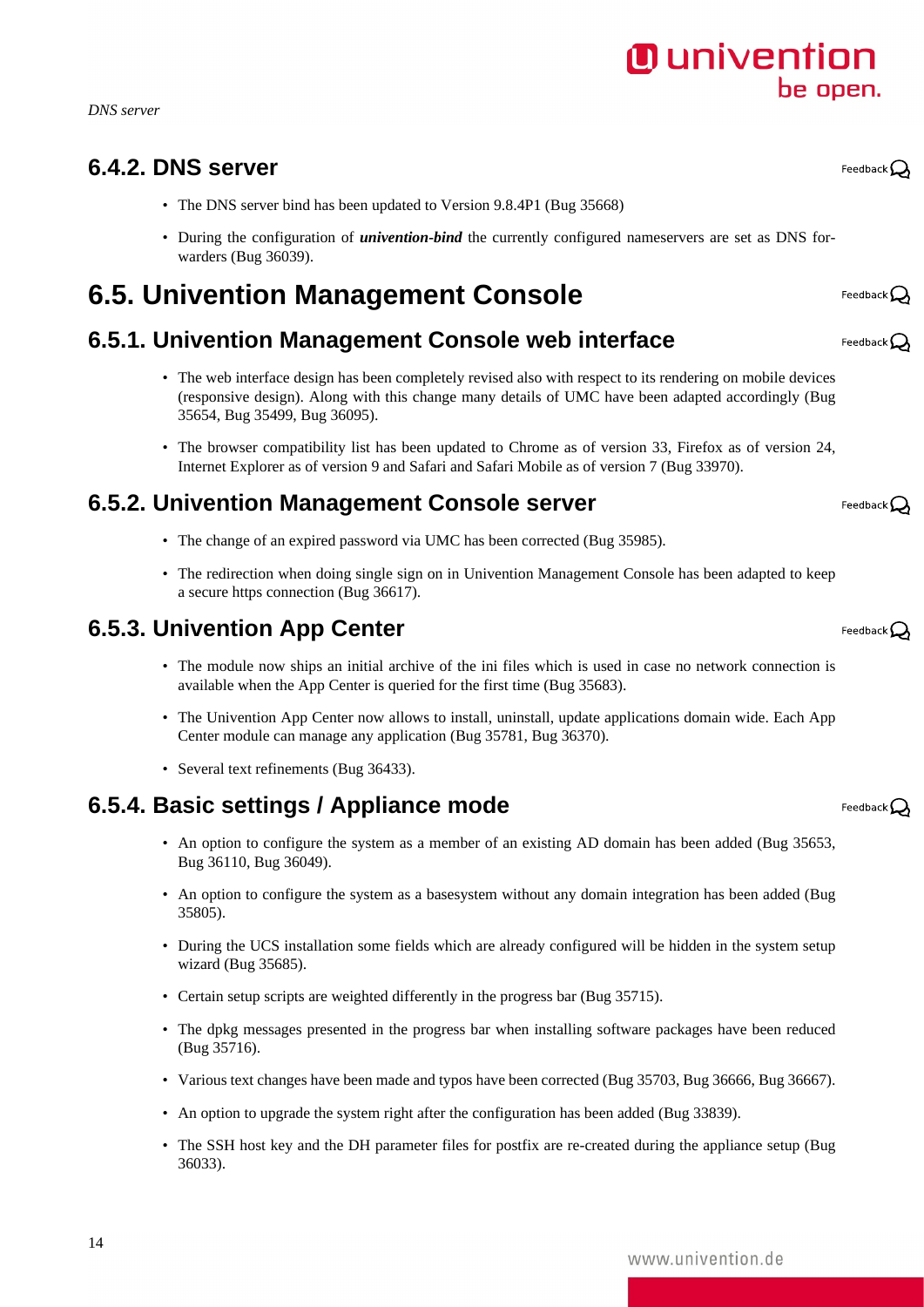*DNS server*

#### <span id="page-13-0"></span>**6.4.2. DNS server**

- The DNS server bind has been updated to Version 9.8.4P1 ([Bug 35668\)](https://forge.univention.org/bugzilla/show_bug.cgi?id=35668)
- During the configuration of *univention-bind* the currently configured nameservers are set as DNS forwarders [\(Bug 36039](https://forge.univention.org/bugzilla/show_bug.cgi?id=36039)).

# <span id="page-13-1"></span>**6.5. Univention Management Console**

## <span id="page-13-2"></span>**6.5.1. Univention Management Console web interface**

- The web interface design has been completely revised also with respect to its rendering on mobile devices (responsive design). Along with this change many details of UMC have been adapted accordingly ([Bug](https://forge.univention.org/bugzilla/show_bug.cgi?id=35654) [35654,](https://forge.univention.org/bugzilla/show_bug.cgi?id=35654) [Bug 35499,](https://forge.univention.org/bugzilla/show_bug.cgi?id=35499) [Bug 36095](https://forge.univention.org/bugzilla/show_bug.cgi?id=36095)).
- The browser compatibility list has been updated to Chrome as of version 33, Firefox as of version 24, Internet Explorer as of version 9 and Safari and Safari Mobile as of version 7 [\(Bug 33970\)](https://forge.univention.org/bugzilla/show_bug.cgi?id=33970).

## <span id="page-13-3"></span>**6.5.2. Univention Management Console server**

- The change of an expired password via UMC has been corrected [\(Bug 35985\)](https://forge.univention.org/bugzilla/show_bug.cgi?id=35985).
- The redirection when doing single sign on in Univention Management Console has been adapted to keep a secure https connection [\(Bug 36617\)](https://forge.univention.org/bugzilla/show_bug.cgi?id=36617).

#### <span id="page-13-4"></span>**6.5.3. Univention App Center**

- The module now ships an initial archive of the ini files which is used in case no network connection is available when the App Center is queried for the first time ([Bug 35683\)](https://forge.univention.org/bugzilla/show_bug.cgi?id=35683).
- The Univention App Center now allows to install, uninstall, update applications domain wide. Each App Center module can manage any application ([Bug 35781,](https://forge.univention.org/bugzilla/show_bug.cgi?id=35781) [Bug 36370\)](https://forge.univention.org/bugzilla/show_bug.cgi?id=36370).
- Several text refinements ([Bug 36433\)](https://forge.univention.org/bugzilla/show_bug.cgi?id=36433).

# <span id="page-13-5"></span>**6.5.4. Basic settings / Appliance mode**

- An option to configure the system as a member of an existing AD domain has been added [\(Bug 35653](https://forge.univention.org/bugzilla/show_bug.cgi?id=35653), [Bug 36110,](https://forge.univention.org/bugzilla/show_bug.cgi?id=36110) [Bug 36049](https://forge.univention.org/bugzilla/show_bug.cgi?id=36049)).
- An option to configure the system as a basesystem without any domain integration has been added ([Bug](https://forge.univention.org/bugzilla/show_bug.cgi?id=35805) [35805\)](https://forge.univention.org/bugzilla/show_bug.cgi?id=35805).
- During the UCS installation some fields which are already configured will be hidden in the system setup wizard ([Bug 35685\)](https://forge.univention.org/bugzilla/show_bug.cgi?id=35685).
- Certain setup scripts are weighted differently in the progress bar [\(Bug 35715\)](https://forge.univention.org/bugzilla/show_bug.cgi?id=35715).
- The dpkg messages presented in the progress bar when installing software packages have been reduced [\(Bug 35716](https://forge.univention.org/bugzilla/show_bug.cgi?id=35716)).
- Various text changes have been made and typos have been corrected ([Bug 35703,](https://forge.univention.org/bugzilla/show_bug.cgi?id=35703) [Bug 36666](https://forge.univention.org/bugzilla/show_bug.cgi?id=36666), [Bug 36667\)](https://forge.univention.org/bugzilla/show_bug.cgi?id=36667).
- An option to upgrade the system right after the configuration has been added ([Bug 33839\)](https://forge.univention.org/bugzilla/show_bug.cgi?id=33839).
- The SSH host key and the DH parameter files for postfix are re-created during the appliance setup ([Bug](https://forge.univention.org/bugzilla/show_bug.cgi?id=36033) [36033\)](https://forge.univention.org/bugzilla/show_bug.cgi?id=36033).

Feedback $\mathbf{Q}$ 

Feedback $\Omega$ 

Feedback $\Omega$ 

Feedback $\mathbf{Q}$ 

Feedback $\Omega$ 

Feedback $\Omega$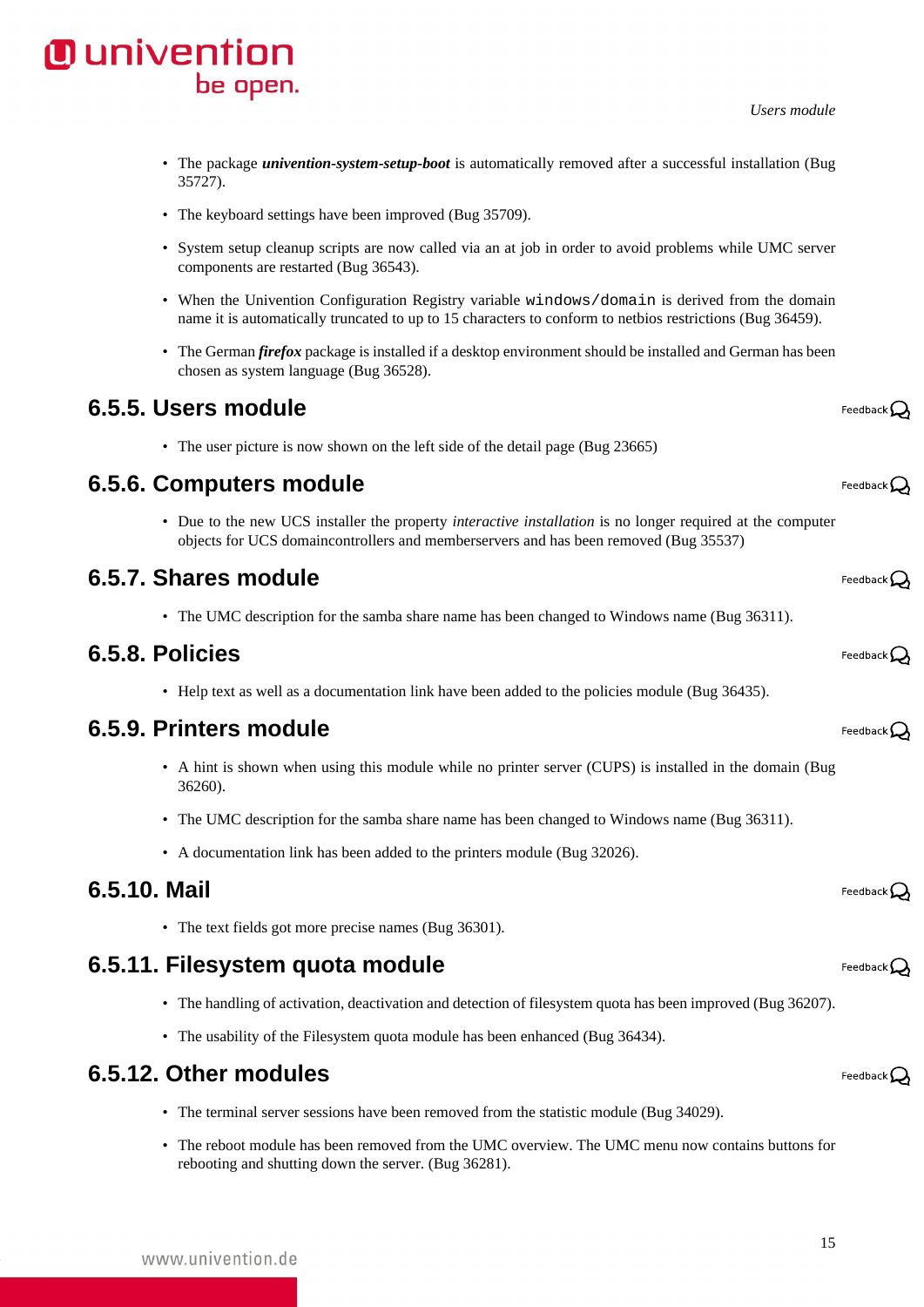- The package *univention-system-setup-boot* is automatically removed after a successful installation ([Bug](https://forge.univention.org/bugzilla/show_bug.cgi?id=35727) [35727\)](https://forge.univention.org/bugzilla/show_bug.cgi?id=35727).
- The keyboard settings have been improved [\(Bug 35709\)](https://forge.univention.org/bugzilla/show_bug.cgi?id=35709).
- System setup cleanup scripts are now called via an at job in order to avoid problems while UMC server components are restarted [\(Bug 36543\)](https://forge.univention.org/bugzilla/show_bug.cgi?id=36543).
- When the Univention Configuration Registry variable windows/domain is derived from the domain name it is automatically truncated to up to 15 characters to conform to netbios restrictions ([Bug 36459](https://forge.univention.org/bugzilla/show_bug.cgi?id=36459)).
- The German *firefox* package is installed if a desktop environment should be installed and German has been chosen as system language [\(Bug 36528](https://forge.univention.org/bugzilla/show_bug.cgi?id=36528)).

#### <span id="page-14-0"></span>**6.5.5. Users module**

• The user picture is now shown on the left side of the detail page [\(Bug 23665](https://forge.univention.org/bugzilla/show_bug.cgi?id=23665))

## <span id="page-14-1"></span>**6.5.6. Computers module**

• Due to the new UCS installer the property *interactive installation* is no longer required at the computer objects for UCS domaincontrollers and memberservers and has been removed [\(Bug 35537\)](https://forge.univention.org/bugzilla/show_bug.cgi?id=35537)

## <span id="page-14-2"></span>**6.5.7. Shares module**

• The UMC description for the samba share name has been changed to Windows name [\(Bug 36311](https://forge.univention.org/bugzilla/show_bug.cgi?id=36311)).

### <span id="page-14-3"></span>**6.5.8. Policies**

• Help text as well as a documentation link have been added to the policies module [\(Bug 36435](https://forge.univention.org/bugzilla/show_bug.cgi?id=36435)).

#### <span id="page-14-4"></span>**6.5.9. Printers module**

- A hint is shown when using this module while no printer server (CUPS) is installed in the domain ([Bug](https://forge.univention.org/bugzilla/show_bug.cgi?id=36260) [36260\)](https://forge.univention.org/bugzilla/show_bug.cgi?id=36260).
- The UMC description for the samba share name has been changed to Windows name [\(Bug 36311](https://forge.univention.org/bugzilla/show_bug.cgi?id=36311)).
- A documentation link has been added to the printers module ([Bug 32026](https://forge.univention.org/bugzilla/show_bug.cgi?id=32026)).

#### <span id="page-14-5"></span>**6.5.10. Mail**

• The text fields got more precise names [\(Bug 36301\)](https://forge.univention.org/bugzilla/show_bug.cgi?id=36301).

## <span id="page-14-6"></span>**6.5.11. Filesystem quota module**

- The handling of activation, deactivation and detection of filesystem quota has been improved ([Bug 36207\)](https://forge.univention.org/bugzilla/show_bug.cgi?id=36207).
- The usability of the Filesystem quota module has been enhanced [\(Bug 36434](https://forge.univention.org/bugzilla/show_bug.cgi?id=36434)).

#### <span id="page-14-7"></span>**6.5.12. Other modules**

- The terminal server sessions have been removed from the statistic module ([Bug 34029\)](https://forge.univention.org/bugzilla/show_bug.cgi?id=34029).
- The reboot module has been removed from the UMC overview. The UMC menu now contains buttons for rebooting and shutting down the server. [\(Bug 36281\)](https://forge.univention.org/bugzilla/show_bug.cgi?id=36281).

Feedback $\Omega$ 

# **O** univention be open.

Feedback $\Omega$ 

Feedback $\Omega$ 

Feedback  $\Omega$ 

Feedback $\mathcal Q$ 

Feedback $\mathbf{Q}$ 

Feedback $\Omega$ 

Feedback $\bigcirc$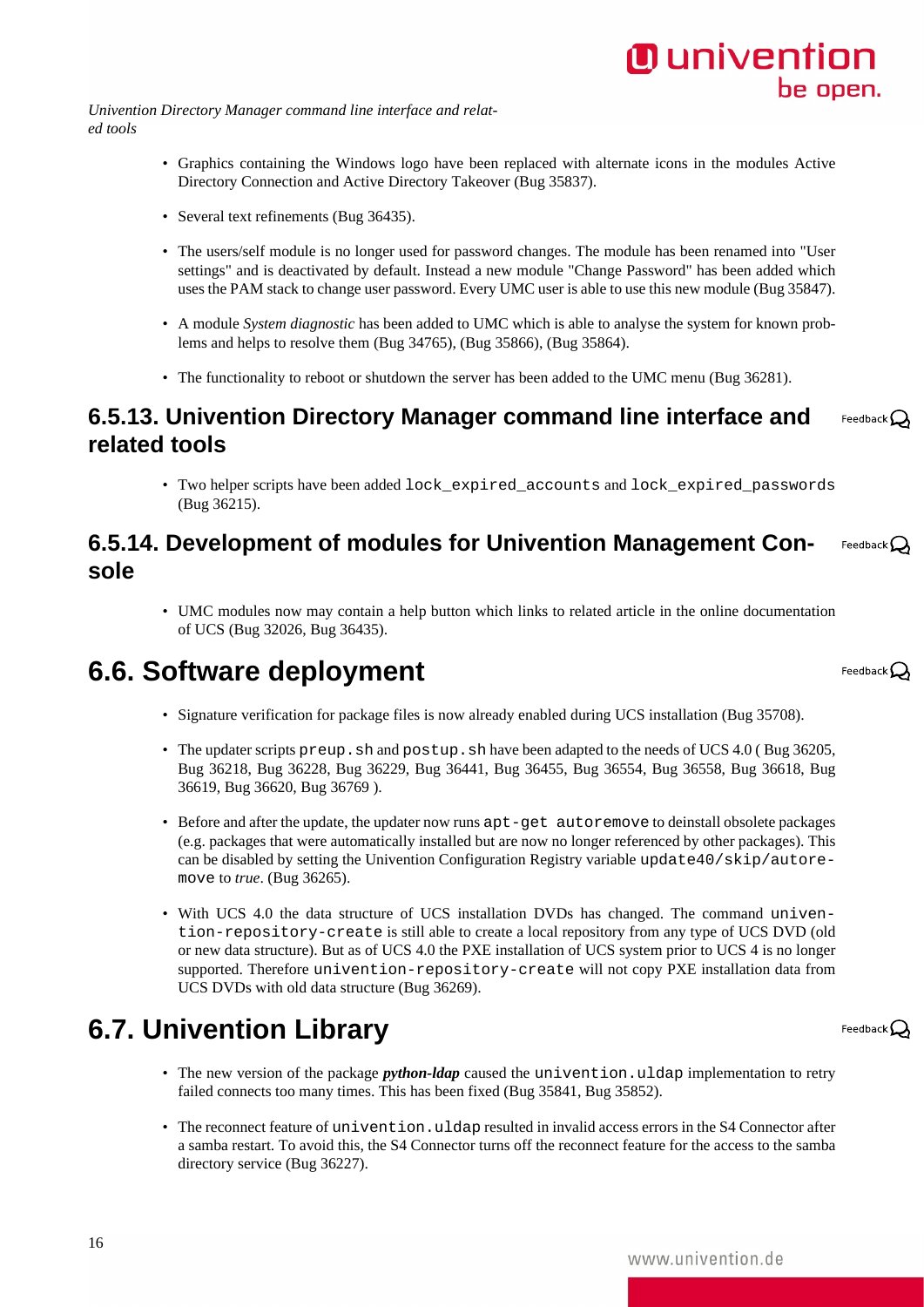*Univention Directory Manager command line interface and related tools*

- Graphics containing the Windows logo have been replaced with alternate icons in the modules Active Directory Connection and Active Directory Takeover ([Bug 35837\)](https://forge.univention.org/bugzilla/show_bug.cgi?id=35837).
- Several text refinements ([Bug 36435\)](https://forge.univention.org/bugzilla/show_bug.cgi?id=36435).
- The users/self module is no longer used for password changes. The module has been renamed into "User settings" and is deactivated by default. Instead a new module "Change Password" has been added which uses the PAM stack to change user password. Every UMC user is able to use this new module [\(Bug 35847\)](https://forge.univention.org/bugzilla/show_bug.cgi?id=35847).
- A module *System diagnostic* has been added to UMC which is able to analyse the system for known problems and helps to resolve them [\(Bug 34765](https://forge.univention.org/bugzilla/show_bug.cgi?id=34765)), ([Bug 35866](https://forge.univention.org/bugzilla/show_bug.cgi?id=35866)), ([Bug 35864\)](https://forge.univention.org/bugzilla/show_bug.cgi?id=35864).
- The functionality to reboot or shutdown the server has been added to the UMC menu [\(Bug 36281\)](https://forge.univention.org/bugzilla/show_bug.cgi?id=36281).

#### <span id="page-15-0"></span>**6.5.13. Univention Directory Manager command line interface and** Feedback $\Omega$ **related tools**

• Two helper scripts have been added lock\_expired\_accounts and lock\_expired\_passwords [\(Bug 36215](https://forge.univention.org/bugzilla/show_bug.cgi?id=36215)).

#### <span id="page-15-1"></span>**6.5.14. Development of modules for Univention Management Con-**Feedback  $\Omega$ **sole**

• UMC modules now may contain a help button which links to related article in the online documentation of UCS ([Bug 32026,](https://forge.univention.org/bugzilla/show_bug.cgi?id=32026) [Bug 36435](https://forge.univention.org/bugzilla/show_bug.cgi?id=36435)).

# <span id="page-15-2"></span>**6.6. Software deployment**

- Signature verification for package files is now already enabled during UCS installation ([Bug 35708\)](https://forge.univention.org/bugzilla/show_bug.cgi?id=35708).
- The updater scripts preup. sh and postup. sh have been adapted to the needs of UCS 4.0 (Bug 36205, [Bug 36218,](https://forge.univention.org/bugzilla/show_bug.cgi?id=36218) [Bug 36228,](https://forge.univention.org/bugzilla/show_bug.cgi?id=36228) [Bug 36229,](https://forge.univention.org/bugzilla/show_bug.cgi?id=36229) [Bug 36441](https://forge.univention.org/bugzilla/show_bug.cgi?id=36441), [Bug 36455](https://forge.univention.org/bugzilla/show_bug.cgi?id=36455), [Bug 36554](https://forge.univention.org/bugzilla/show_bug.cgi?id=36554), [Bug 36558](https://forge.univention.org/bugzilla/show_bug.cgi?id=36558), [Bug 36618](https://forge.univention.org/bugzilla/show_bug.cgi?id=36618), [Bug](https://forge.univention.org/bugzilla/show_bug.cgi?id=36619) [36619,](https://forge.univention.org/bugzilla/show_bug.cgi?id=36619) [Bug 36620,](https://forge.univention.org/bugzilla/show_bug.cgi?id=36620) [Bug 36769](https://forge.univention.org/bugzilla/show_bug.cgi?id=36769) ).
- Before and after the update, the updater now runs apt-get autoremove to deinstall obsolete packages (e.g. packages that were automatically installed but are now no longer referenced by other packages). This can be disabled by setting the Univention Configuration Registry variable update40/skip/autoremove to *true*. ([Bug 36265](https://forge.univention.org/bugzilla/show_bug.cgi?id=36265)).
- With UCS 4.0 the data structure of UCS installation DVDs has changed. The command univention-repository-create is still able to create a local repository from any type of UCS DVD (old or new data structure). But as of UCS 4.0 the PXE installation of UCS system prior to UCS 4 is no longer supported. Therefore univention-repository-create will not copy PXE installation data from UCS DVDs with old data structure [\(Bug 36269](https://forge.univention.org/bugzilla/show_bug.cgi?id=36269)).

# <span id="page-15-3"></span>**6.7. Univention Library**

16

- The new version of the package *python-ldap* caused the univention.uldap implementation to retry failed connects too many times. This has been fixed ([Bug 35841](https://forge.univention.org/bugzilla/show_bug.cgi?id=35841), [Bug 35852](https://forge.univention.org/bugzilla/show_bug.cgi?id=35852)).
- The reconnect feature of univention.uldap resulted in invalid access errors in the S4 Connector after a samba restart. To avoid this, the S4 Connector turns off the reconnect feature for the access to the samba directory service [\(Bug 36227\)](https://forge.univention.org/bugzilla/show_bug.cgi?id=36227).

Feedback $\mathbf{Q}$ 

Feedback  $\Omega$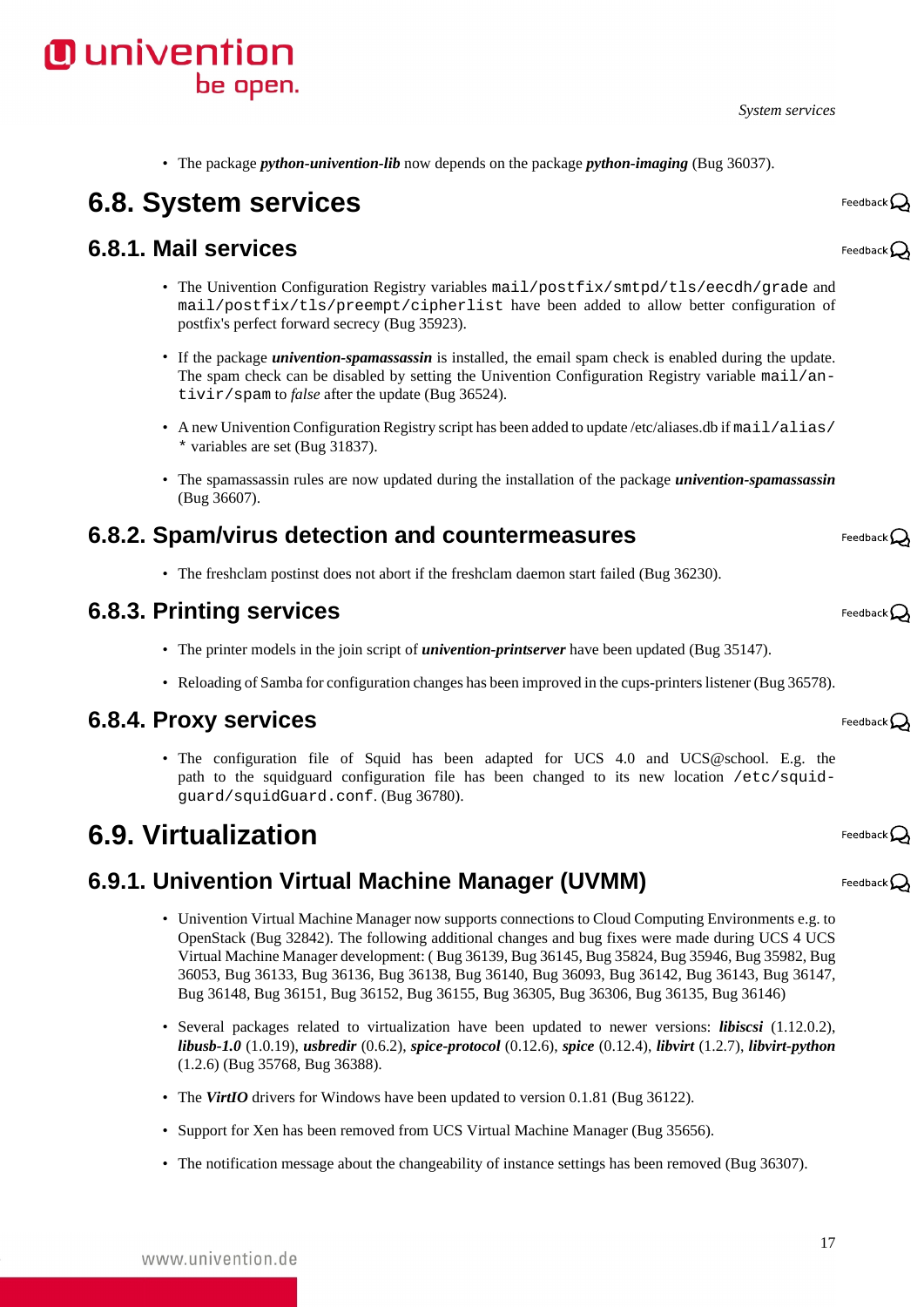*System services*

- - [\(Bug 36607](https://forge.univention.org/bugzilla/show_bug.cgi?id=36607)).

#### <span id="page-16-2"></span>**6.8.2. Spam/virus detection and countermeasures**

• The freshclam postinst does not abort if the freshclam daemon start failed [\(Bug 36230](https://forge.univention.org/bugzilla/show_bug.cgi?id=36230)).

#### <span id="page-16-3"></span>**6.8.3. Printing services**

- The printer models in the join script of *univention-printserver* have been updated [\(Bug 35147\)](https://forge.univention.org/bugzilla/show_bug.cgi?id=35147).
- Reloading of Samba for configuration changes has been improved in the cups-printers listener [\(Bug 36578\)](https://forge.univention.org/bugzilla/show_bug.cgi?id=36578).

#### <span id="page-16-4"></span>**6.8.4. Proxy services**

• The configuration file of Squid has been adapted for UCS 4.0 and UCS@school. E.g. the path to the squidguard configuration file has been changed to its new location /etc/squidguard/squidGuard.conf. [\(Bug 36780](https://forge.univention.org/bugzilla/show_bug.cgi?id=36780)).

#### <span id="page-16-5"></span>**6.9. Virtualization**

#### <span id="page-16-6"></span>**6.9.1. Univention Virtual Machine Manager (UVMM)**

- Univention Virtual Machine Manager now supports connections to Cloud Computing Environments e.g. to OpenStack ([Bug 32842](https://forge.univention.org/bugzilla/show_bug.cgi?id=32842)). The following additional changes and bug fixes were made during UCS 4 UCS Virtual Machine Manager development: ( [Bug 36139,](https://forge.univention.org/bugzilla/show_bug.cgi?id=36139) [Bug 36145](https://forge.univention.org/bugzilla/show_bug.cgi?id=36145), [Bug 35824](https://forge.univention.org/bugzilla/show_bug.cgi?id=35824), [Bug 35946](https://forge.univention.org/bugzilla/show_bug.cgi?id=35946), [Bug 35982](https://forge.univention.org/bugzilla/show_bug.cgi?id=35982), [Bug](https://forge.univention.org/bugzilla/show_bug.cgi?id=36053) [36053,](https://forge.univention.org/bugzilla/show_bug.cgi?id=36053) [Bug 36133](https://forge.univention.org/bugzilla/show_bug.cgi?id=36133), [Bug 36136,](https://forge.univention.org/bugzilla/show_bug.cgi?id=36136) [Bug 36138](https://forge.univention.org/bugzilla/show_bug.cgi?id=36138), [Bug 36140,](https://forge.univention.org/bugzilla/show_bug.cgi?id=36140) [Bug 36093](https://forge.univention.org/bugzilla/show_bug.cgi?id=36093), [Bug 36142,](https://forge.univention.org/bugzilla/show_bug.cgi?id=36142) [Bug 36143,](https://forge.univention.org/bugzilla/show_bug.cgi?id=36143) [Bug 36147](https://forge.univention.org/bugzilla/show_bug.cgi?id=36147), [Bug 36148,](https://forge.univention.org/bugzilla/show_bug.cgi?id=36148) [Bug 36151](https://forge.univention.org/bugzilla/show_bug.cgi?id=36151), [Bug 36152](https://forge.univention.org/bugzilla/show_bug.cgi?id=36152), [Bug 36155](https://forge.univention.org/bugzilla/show_bug.cgi?id=36155), [Bug 36305,](https://forge.univention.org/bugzilla/show_bug.cgi?id=36305) [Bug 36306,](https://forge.univention.org/bugzilla/show_bug.cgi?id=36306) [Bug 36135,](https://forge.univention.org/bugzilla/show_bug.cgi?id=36135) [Bug 36146](https://forge.univention.org/bugzilla/show_bug.cgi?id=36146))
- Several packages related to virtualization have been updated to newer versions: *libiscsi* (1.12.0.2), *libusb-1.0* (1.0.19), *usbredir* (0.6.2), *spice-protocol* (0.12.6), *spice* (0.12.4), *libvirt* (1.2.7), *libvirt-python* (1.2.6) [\(Bug 35768](https://forge.univention.org/bugzilla/show_bug.cgi?id=35768), [Bug 36388\)](https://forge.univention.org/bugzilla/show_bug.cgi?id=36388).
- The *VirtIO* drivers for Windows have been updated to version 0.1.81 ([Bug 36122\)](https://forge.univention.org/bugzilla/show_bug.cgi?id=36122).
- Support for Xen has been removed from UCS Virtual Machine Manager [\(Bug 35656\)](https://forge.univention.org/bugzilla/show_bug.cgi?id=35656).
- The notification message about the changeability of instance settings has been removed ([Bug 36307\)](https://forge.univention.org/bugzilla/show_bug.cgi?id=36307).

# <span id="page-16-0"></span>**6.8. System services**



• The package *python-univention-lib* now depends on the package *python-imaging* [\(Bug 36037\)](https://forge.univention.org/bugzilla/show_bug.cgi?id=36037).

- If the package *univention-spamassassin* is installed, the email spam check is enabled during the update. The spam check can be disabled by setting the Univention Configuration Registry variable mail/antivir/spam to *false* after the update ([Bug 36524](https://forge.univention.org/bugzilla/show_bug.cgi?id=36524)).
- A new Univention Configuration Registry script has been added to update /etc/aliases.db if mail/alias/ \* variables are set [\(Bug 31837\)](https://forge.univention.org/bugzilla/show_bug.cgi?id=31837).
- The spamassassin rules are now updated during the installation of the package *univention-spamassassin*

Feedback $\Omega$ 

Feedback $\mathcal{Q}$ 

Feedback $\Omega$ 

Feedback $\bigcirc$ 

Feedback $\Omega$ 

Feedback $\Omega$ 

Feedback $\mathcal D$ 

17



<span id="page-16-1"></span>**6.8.1. Mail services**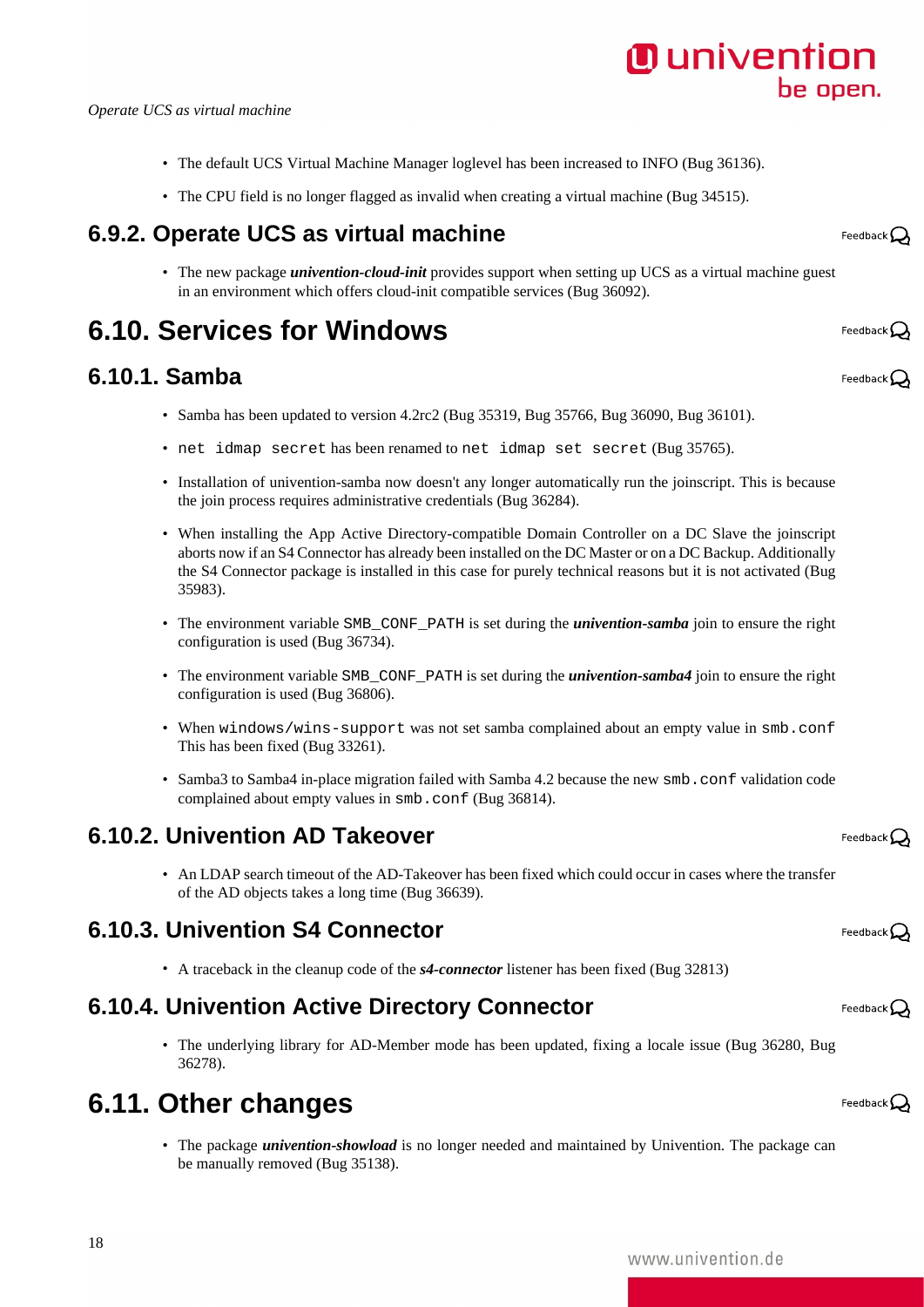#### *Operate UCS as virtual machine*

- The default UCS Virtual Machine Manager loglevel has been increased to INFO ([Bug 36136](https://forge.univention.org/bugzilla/show_bug.cgi?id=36136)).
- The CPU field is no longer flagged as invalid when creating a virtual machine ([Bug 34515](https://forge.univention.org/bugzilla/show_bug.cgi?id=34515)).

#### <span id="page-17-0"></span>**6.9.2. Operate UCS as virtual machine**

• The new package *univention-cloud-init* provides support when setting up UCS as a virtual machine guest in an environment which offers cloud-init compatible services [\(Bug 36092](https://forge.univention.org/bugzilla/show_bug.cgi?id=36092)).

# <span id="page-17-1"></span>**6.10. Services for Windows**

#### <span id="page-17-2"></span>**6.10.1. Samba**

- Samba has been updated to version 4.2rc2 [\(Bug 35319](https://forge.univention.org/bugzilla/show_bug.cgi?id=35319), [Bug 35766](https://forge.univention.org/bugzilla/show_bug.cgi?id=35766), [Bug 36090,](https://forge.univention.org/bugzilla/show_bug.cgi?id=36090) [Bug 36101\)](https://forge.univention.org/bugzilla/show_bug.cgi?id=36101).
- net idmap secret has been renamed to net idmap set secret [\(Bug 35765\)](https://forge.univention.org/bugzilla/show_bug.cgi?id=35765).
- Installation of univention-samba now doesn't any longer automatically run the joinscript. This is because the join process requires administrative credentials ([Bug 36284\)](https://forge.univention.org/bugzilla/show_bug.cgi?id=36284).
- When installing the App Active Directory-compatible Domain Controller on a DC Slave the joinscript aborts now if an S4 Connector has already been installed on the DC Master or on a DC Backup. Additionally the S4 Connector package is installed in this case for purely technical reasons but it is not activated ([Bug](https://forge.univention.org/bugzilla/show_bug.cgi?id=35983) [35983\)](https://forge.univention.org/bugzilla/show_bug.cgi?id=35983).
- The environment variable SMB\_CONF\_PATH is set during the *univention-samba* join to ensure the right configuration is used [\(Bug 36734\)](https://forge.univention.org/bugzilla/show_bug.cgi?id=36734).
- The environment variable SMB\_CONF\_PATH is set during the *univention-samba4* join to ensure the right configuration is used [\(Bug 36806\)](https://forge.univention.org/bugzilla/show_bug.cgi?id=36806).
- When windows/wins-support was not set samba complained about an empty value in smb.conf This has been fixed ([Bug 33261\)](https://forge.univention.org/bugzilla/show_bug.cgi?id=33261).
- Samba3 to Samba4 in-place migration failed with Samba 4.2 because the new smb, conf validation code complained about empty values in smb.conf [\(Bug 36814](https://forge.univention.org/bugzilla/show_bug.cgi?id=36814)).

#### <span id="page-17-3"></span>**6.10.2. Univention AD Takeover**

• An LDAP search timeout of the AD-Takeover has been fixed which could occur in cases where the transfer of the AD objects takes a long time ([Bug 36639](https://forge.univention.org/bugzilla/show_bug.cgi?id=36639)).

#### <span id="page-17-4"></span>**6.10.3. Univention S4 Connector**

• A traceback in the cleanup code of the *s4-connector* listener has been fixed [\(Bug 32813](https://forge.univention.org/bugzilla/show_bug.cgi?id=32813))

#### <span id="page-17-5"></span>**6.10.4. Univention Active Directory Connector**

• The underlying library for AD-Member mode has been updated, fixing a locale issue [\(Bug 36280](https://forge.univention.org/bugzilla/show_bug.cgi?id=36280), [Bug](https://forge.univention.org/bugzilla/show_bug.cgi?id=36278) [36278\)](https://forge.univention.org/bugzilla/show_bug.cgi?id=36278).

## <span id="page-17-6"></span>**6.11. Other changes**

18

• The package *univention-showload* is no longer needed and maintained by Univention. The package can be manually removed [\(Bug 35138](https://forge.univention.org/bugzilla/show_bug.cgi?id=35138)).

Feedback $\mathbf{Q}$ 

Feedback $\Omega$ 

Feedback $\mathbf{Q}$ 

Feedback $\Omega$ 

Feedback $\Omega$ 

Feedback $\Omega$ 

Feedback $\Omega$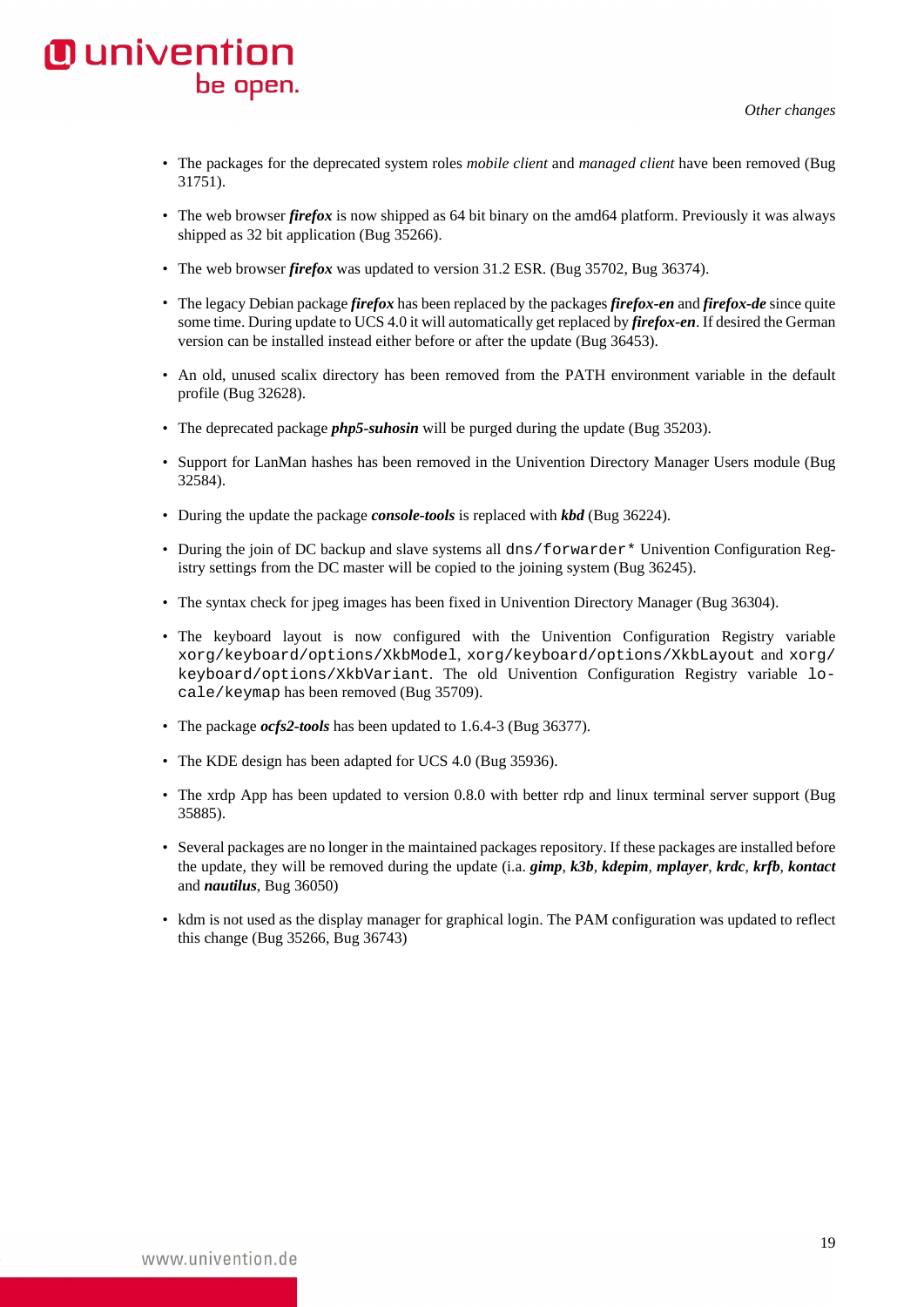- The packages for the deprecated system roles *mobile client* and *managed client* have been removed ([Bug](https://forge.univention.org/bugzilla/show_bug.cgi?id=31751) [31751\)](https://forge.univention.org/bugzilla/show_bug.cgi?id=31751).
- The web browser *firefox* is now shipped as 64 bit binary on the amd64 platform. Previously it was always shipped as 32 bit application ([Bug 35266](https://forge.univention.org/bugzilla/show_bug.cgi?id=35266)).
- The web browser *firefox* was updated to version 31.2 ESR. ([Bug 35702](https://forge.univention.org/bugzilla/show_bug.cgi?id=35702), [Bug 36374](https://forge.univention.org/bugzilla/show_bug.cgi?id=36374)).
- The legacy Debian package *firefox* has been replaced by the packages *firefox-en* and *firefox-de* since quite some time. During update to UCS 4.0 it will automatically get replaced by *firefox-en*. If desired the German version can be installed instead either before or after the update [\(Bug 36453\)](https://forge.univention.org/bugzilla/show_bug.cgi?id=36453).
- An old, unused scalix directory has been removed from the PATH environment variable in the default profile [\(Bug 32628](https://forge.univention.org/bugzilla/show_bug.cgi?id=32628)).
- The deprecated package *php5-suhosin* will be purged during the update ([Bug 35203\)](https://forge.univention.org/bugzilla/show_bug.cgi?id=35203).
- Support for LanMan hashes has been removed in the Univention Directory Manager Users module ([Bug](https://forge.univention.org/bugzilla/show_bug.cgi?id=32584) [32584\)](https://forge.univention.org/bugzilla/show_bug.cgi?id=32584).
- During the update the package *console-tools* is replaced with *kbd* [\(Bug 36224\)](https://forge.univention.org/bugzilla/show_bug.cgi?id=36224).
- During the join of DC backup and slave systems all dns/forwarder\* Univention Configuration Registry settings from the DC master will be copied to the joining system ([Bug 36245](https://forge.univention.org/bugzilla/show_bug.cgi?id=36245)).
- The syntax check for jpeg images has been fixed in Univention Directory Manager [\(Bug 36304](https://forge.univention.org/bugzilla/show_bug.cgi?id=36304)).
- The keyboard layout is now configured with the Univention Configuration Registry variable xorg/keyboard/options/XkbModel, xorg/keyboard/options/XkbLayout and xorg/ keyboard/options/XkbVariant. The old Univention Configuration Registry variable locale/keymap has been removed [\(Bug 35709](https://forge.univention.org/bugzilla/show_bug.cgi?id=35709)).
- The package *ocfs2-tools* has been updated to 1.6.4-3 ([Bug 36377\)](https://forge.univention.org/bugzilla/show_bug.cgi?id=36377).
- The KDE design has been adapted for UCS 4.0 ([Bug 35936\)](https://forge.univention.org/bugzilla/show_bug.cgi?id=35936).
- The xrdp App has been updated to version 0.8.0 with better rdp and linux terminal server support ([Bug](https://forge.univention.org/bugzilla/show_bug.cgi?id=35885) [35885\)](https://forge.univention.org/bugzilla/show_bug.cgi?id=35885).
- Several packages are no longer in the maintained packages repository. If these packages are installed before the update, they will be removed during the update (i.a. *gimp*, *k3b*, *kdepim*, *mplayer*, *krdc*, *krfb*, *kontact* and *nautilus*, [Bug 36050\)](https://forge.univention.org/bugzilla/show_bug.cgi?id=36050)
- kdm is not used as the display manager for graphical login. The PAM configuration was updated to reflect this change ([Bug 35266,](https://forge.univention.org/bugzilla/show_bug.cgi?id=35266) [Bug 36743](https://forge.univention.org/bugzilla/show_bug.cgi?id=36743))